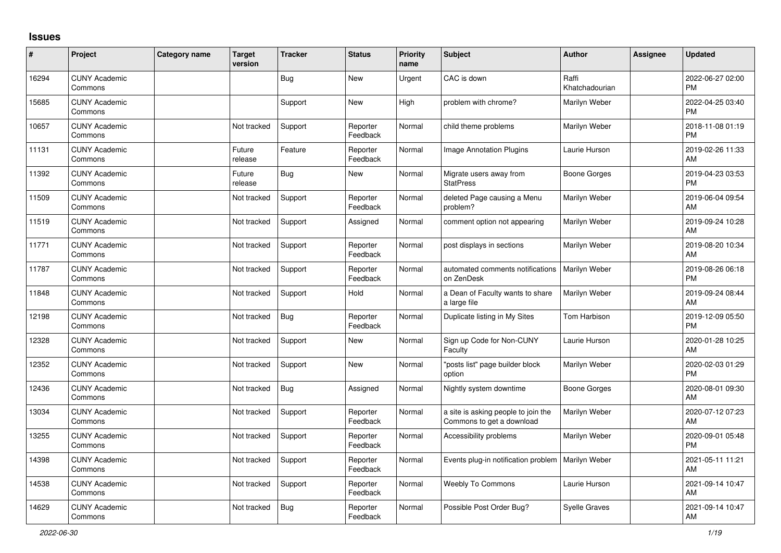## **Issues**

| ∦     | Project                         | <b>Category name</b> | <b>Target</b><br>version | <b>Tracker</b> | <b>Status</b>        | <b>Priority</b><br>name | <b>Subject</b>                                                   | <b>Author</b>           | Assignee | <b>Updated</b>                |
|-------|---------------------------------|----------------------|--------------------------|----------------|----------------------|-------------------------|------------------------------------------------------------------|-------------------------|----------|-------------------------------|
| 16294 | <b>CUNY Academic</b><br>Commons |                      |                          | Bug            | <b>New</b>           | Urgent                  | CAC is down                                                      | Raffi<br>Khatchadourian |          | 2022-06-27 02:00<br><b>PM</b> |
| 15685 | <b>CUNY Academic</b><br>Commons |                      |                          | Support        | <b>New</b>           | High                    | problem with chrome?                                             | Marilyn Weber           |          | 2022-04-25 03:40<br><b>PM</b> |
| 10657 | <b>CUNY Academic</b><br>Commons |                      | Not tracked              | Support        | Reporter<br>Feedback | Normal                  | child theme problems                                             | Marilyn Weber           |          | 2018-11-08 01:19<br><b>PM</b> |
| 11131 | <b>CUNY Academic</b><br>Commons |                      | Future<br>release        | Feature        | Reporter<br>Feedback | Normal                  | <b>Image Annotation Plugins</b>                                  | Laurie Hurson           |          | 2019-02-26 11:33<br>AM        |
| 11392 | <b>CUNY Academic</b><br>Commons |                      | Future<br>release        | <b>Bug</b>     | <b>New</b>           | Normal                  | Migrate users away from<br><b>StatPress</b>                      | <b>Boone Gorges</b>     |          | 2019-04-23 03:53<br><b>PM</b> |
| 11509 | <b>CUNY Academic</b><br>Commons |                      | Not tracked              | Support        | Reporter<br>Feedback | Normal                  | deleted Page causing a Menu<br>problem?                          | Marilyn Weber           |          | 2019-06-04 09:54<br>AM        |
| 11519 | <b>CUNY Academic</b><br>Commons |                      | Not tracked              | Support        | Assigned             | Normal                  | comment option not appearing                                     | Marilyn Weber           |          | 2019-09-24 10:28<br>AM        |
| 11771 | <b>CUNY Academic</b><br>Commons |                      | Not tracked              | Support        | Reporter<br>Feedback | Normal                  | post displays in sections                                        | Marilyn Weber           |          | 2019-08-20 10:34<br>AM        |
| 11787 | <b>CUNY Academic</b><br>Commons |                      | Not tracked              | Support        | Reporter<br>Feedback | Normal                  | automated comments notifications<br>on ZenDesk                   | Marilyn Weber           |          | 2019-08-26 06:18<br><b>PM</b> |
| 11848 | <b>CUNY Academic</b><br>Commons |                      | Not tracked              | Support        | Hold                 | Normal                  | a Dean of Faculty wants to share<br>a large file                 | Marilyn Weber           |          | 2019-09-24 08:44<br>AM        |
| 12198 | <b>CUNY Academic</b><br>Commons |                      | Not tracked              | Bug            | Reporter<br>Feedback | Normal                  | Duplicate listing in My Sites                                    | Tom Harbison            |          | 2019-12-09 05:50<br><b>PM</b> |
| 12328 | <b>CUNY Academic</b><br>Commons |                      | Not tracked              | Support        | <b>New</b>           | Normal                  | Sign up Code for Non-CUNY<br>Faculty                             | Laurie Hurson           |          | 2020-01-28 10:25<br>AM        |
| 12352 | <b>CUNY Academic</b><br>Commons |                      | Not tracked              | Support        | <b>New</b>           | Normal                  | "posts list" page builder block<br>option                        | Marilyn Weber           |          | 2020-02-03 01:29<br><b>PM</b> |
| 12436 | <b>CUNY Academic</b><br>Commons |                      | Not tracked              | Bug            | Assigned             | Normal                  | Nightly system downtime                                          | Boone Gorges            |          | 2020-08-01 09:30<br>AM        |
| 13034 | <b>CUNY Academic</b><br>Commons |                      | Not tracked              | Support        | Reporter<br>Feedback | Normal                  | a site is asking people to join the<br>Commons to get a download | Marilyn Weber           |          | 2020-07-12 07:23<br>AM        |
| 13255 | <b>CUNY Academic</b><br>Commons |                      | Not tracked              | Support        | Reporter<br>Feedback | Normal                  | Accessibility problems                                           | Marilyn Weber           |          | 2020-09-01 05:48<br><b>PM</b> |
| 14398 | <b>CUNY Academic</b><br>Commons |                      | Not tracked              | Support        | Reporter<br>Feedback | Normal                  | Events plug-in notification problem                              | Marilyn Weber           |          | 2021-05-11 11:21<br>AM        |
| 14538 | <b>CUNY Academic</b><br>Commons |                      | Not tracked              | Support        | Reporter<br>Feedback | Normal                  | <b>Weebly To Commons</b>                                         | Laurie Hurson           |          | 2021-09-14 10:47<br>AM        |
| 14629 | <b>CUNY Academic</b><br>Commons |                      | Not tracked              | Bug            | Reporter<br>Feedback | Normal                  | Possible Post Order Bug?                                         | <b>Syelle Graves</b>    |          | 2021-09-14 10:47<br>AM        |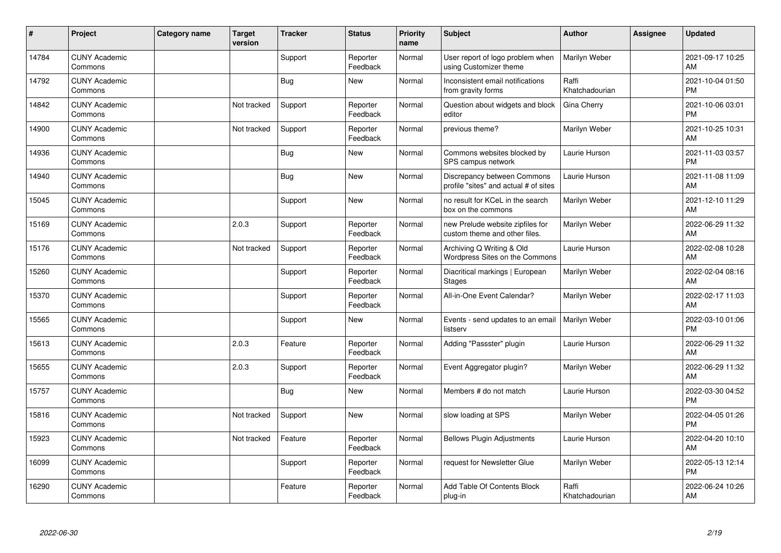| #     | Project                         | Category name | <b>Target</b><br>version | <b>Tracker</b> | <b>Status</b>        | <b>Priority</b><br>name | <b>Subject</b>                                                       | <b>Author</b>           | <b>Assignee</b> | <b>Updated</b>                |
|-------|---------------------------------|---------------|--------------------------|----------------|----------------------|-------------------------|----------------------------------------------------------------------|-------------------------|-----------------|-------------------------------|
| 14784 | <b>CUNY Academic</b><br>Commons |               |                          | Support        | Reporter<br>Feedback | Normal                  | User report of logo problem when<br>using Customizer theme           | Marilyn Weber           |                 | 2021-09-17 10:25<br>AM        |
| 14792 | <b>CUNY Academic</b><br>Commons |               |                          | Bug            | <b>New</b>           | Normal                  | Inconsistent email notifications<br>from gravity forms               | Raffi<br>Khatchadourian |                 | 2021-10-04 01:50<br><b>PM</b> |
| 14842 | <b>CUNY Academic</b><br>Commons |               | Not tracked              | Support        | Reporter<br>Feedback | Normal                  | Question about widgets and block<br>editor                           | Gina Cherry             |                 | 2021-10-06 03:01<br><b>PM</b> |
| 14900 | <b>CUNY Academic</b><br>Commons |               | Not tracked              | Support        | Reporter<br>Feedback | Normal                  | previous theme?                                                      | Marilyn Weber           |                 | 2021-10-25 10:31<br>AM        |
| 14936 | <b>CUNY Academic</b><br>Commons |               |                          | Bug            | <b>New</b>           | Normal                  | Commons websites blocked by<br>SPS campus network                    | Laurie Hurson           |                 | 2021-11-03 03:57<br><b>PM</b> |
| 14940 | <b>CUNY Academic</b><br>Commons |               |                          | Bug            | <b>New</b>           | Normal                  | Discrepancy between Commons<br>profile "sites" and actual # of sites | Laurie Hurson           |                 | 2021-11-08 11:09<br>AM        |
| 15045 | <b>CUNY Academic</b><br>Commons |               |                          | Support        | <b>New</b>           | Normal                  | no result for KCeL in the search<br>box on the commons               | Marilyn Weber           |                 | 2021-12-10 11:29<br>AM        |
| 15169 | <b>CUNY Academic</b><br>Commons |               | 2.0.3                    | Support        | Reporter<br>Feedback | Normal                  | new Prelude website zipfiles for<br>custom theme and other files.    | Marilyn Weber           |                 | 2022-06-29 11:32<br>AM        |
| 15176 | <b>CUNY Academic</b><br>Commons |               | Not tracked              | Support        | Reporter<br>Feedback | Normal                  | Archiving Q Writing & Old<br>Wordpress Sites on the Commons          | Laurie Hurson           |                 | 2022-02-08 10:28<br>AM        |
| 15260 | <b>CUNY Academic</b><br>Commons |               |                          | Support        | Reporter<br>Feedback | Normal                  | Diacritical markings   European<br>Stages                            | Marilyn Weber           |                 | 2022-02-04 08:16<br>AM        |
| 15370 | <b>CUNY Academic</b><br>Commons |               |                          | Support        | Reporter<br>Feedback | Normal                  | All-in-One Event Calendar?                                           | Marilyn Weber           |                 | 2022-02-17 11:03<br>AM        |
| 15565 | <b>CUNY Academic</b><br>Commons |               |                          | Support        | <b>New</b>           | Normal                  | Events - send updates to an email<br>listserv                        | Marilyn Weber           |                 | 2022-03-10 01:06<br><b>PM</b> |
| 15613 | <b>CUNY Academic</b><br>Commons |               | 2.0.3                    | Feature        | Reporter<br>Feedback | Normal                  | Adding "Passster" plugin                                             | Laurie Hurson           |                 | 2022-06-29 11:32<br>AM        |
| 15655 | <b>CUNY Academic</b><br>Commons |               | 2.0.3                    | Support        | Reporter<br>Feedback | Normal                  | Event Aggregator plugin?                                             | Marilyn Weber           |                 | 2022-06-29 11:32<br><b>AM</b> |
| 15757 | <b>CUNY Academic</b><br>Commons |               |                          | <b>Bug</b>     | New                  | Normal                  | Members # do not match                                               | Laurie Hurson           |                 | 2022-03-30 04:52<br><b>PM</b> |
| 15816 | <b>CUNY Academic</b><br>Commons |               | Not tracked              | Support        | <b>New</b>           | Normal                  | slow loading at SPS                                                  | Marilyn Weber           |                 | 2022-04-05 01:26<br><b>PM</b> |
| 15923 | <b>CUNY Academic</b><br>Commons |               | Not tracked              | Feature        | Reporter<br>Feedback | Normal                  | <b>Bellows Plugin Adjustments</b>                                    | Laurie Hurson           |                 | 2022-04-20 10:10<br><b>AM</b> |
| 16099 | <b>CUNY Academic</b><br>Commons |               |                          | Support        | Reporter<br>Feedback | Normal                  | request for Newsletter Glue                                          | Marilyn Weber           |                 | 2022-05-13 12:14<br><b>PM</b> |
| 16290 | <b>CUNY Academic</b><br>Commons |               |                          | Feature        | Reporter<br>Feedback | Normal                  | Add Table Of Contents Block<br>plug-in                               | Raffi<br>Khatchadourian |                 | 2022-06-24 10:26<br>AM        |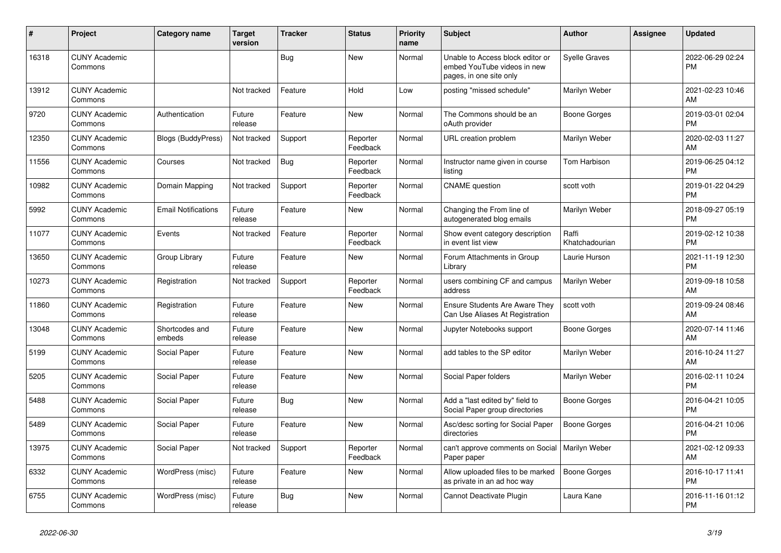| #     | Project                         | <b>Category name</b>       | <b>Target</b><br>version | <b>Tracker</b> | <b>Status</b>        | <b>Priority</b><br>name | <b>Subject</b>                                                                             | <b>Author</b>           | <b>Assignee</b> | <b>Updated</b>                |
|-------|---------------------------------|----------------------------|--------------------------|----------------|----------------------|-------------------------|--------------------------------------------------------------------------------------------|-------------------------|-----------------|-------------------------------|
| 16318 | <b>CUNY Academic</b><br>Commons |                            |                          | Bug            | <b>New</b>           | Normal                  | Unable to Access block editor or<br>embed YouTube videos in new<br>pages, in one site only | <b>Syelle Graves</b>    |                 | 2022-06-29 02:24<br><b>PM</b> |
| 13912 | <b>CUNY Academic</b><br>Commons |                            | Not tracked              | Feature        | Hold                 | Low                     | posting "missed schedule"                                                                  | Marilyn Weber           |                 | 2021-02-23 10:46<br>AM        |
| 9720  | <b>CUNY Academic</b><br>Commons | Authentication             | Future<br>release        | Feature        | <b>New</b>           | Normal                  | The Commons should be an<br>oAuth provider                                                 | <b>Boone Gorges</b>     |                 | 2019-03-01 02:04<br><b>PM</b> |
| 12350 | <b>CUNY Academic</b><br>Commons | <b>Blogs (BuddyPress)</b>  | Not tracked              | Support        | Reporter<br>Feedback | Normal                  | URL creation problem                                                                       | Marilyn Weber           |                 | 2020-02-03 11:27<br>AM        |
| 11556 | <b>CUNY Academic</b><br>Commons | Courses                    | Not tracked              | Bug            | Reporter<br>Feedback | Normal                  | Instructor name given in course<br>listing                                                 | Tom Harbison            |                 | 2019-06-25 04:12<br><b>PM</b> |
| 10982 | <b>CUNY Academic</b><br>Commons | Domain Mapping             | Not tracked              | Support        | Reporter<br>Feedback | Normal                  | <b>CNAME</b> question                                                                      | scott voth              |                 | 2019-01-22 04:29<br><b>PM</b> |
| 5992  | <b>CUNY Academic</b><br>Commons | <b>Email Notifications</b> | Future<br>release        | Feature        | <b>New</b>           | Normal                  | Changing the From line of<br>autogenerated blog emails                                     | Marilyn Weber           |                 | 2018-09-27 05:19<br><b>PM</b> |
| 11077 | <b>CUNY Academic</b><br>Commons | Events                     | Not tracked              | Feature        | Reporter<br>Feedback | Normal                  | Show event category description<br>in event list view                                      | Raffi<br>Khatchadourian |                 | 2019-02-12 10:38<br><b>PM</b> |
| 13650 | <b>CUNY Academic</b><br>Commons | Group Library              | Future<br>release        | Feature        | New                  | Normal                  | Forum Attachments in Group<br>Library                                                      | Laurie Hurson           |                 | 2021-11-19 12:30<br><b>PM</b> |
| 10273 | <b>CUNY Academic</b><br>Commons | Registration               | Not tracked              | Support        | Reporter<br>Feedback | Normal                  | users combining CF and campus<br>address                                                   | Marilyn Weber           |                 | 2019-09-18 10:58<br>AM        |
| 11860 | <b>CUNY Academic</b><br>Commons | Registration               | Future<br>release        | Feature        | New                  | Normal                  | Ensure Students Are Aware They<br>Can Use Aliases At Registration                          | scott voth              |                 | 2019-09-24 08:46<br>AM        |
| 13048 | <b>CUNY Academic</b><br>Commons | Shortcodes and<br>embeds   | Future<br>release        | Feature        | <b>New</b>           | Normal                  | Jupyter Notebooks support                                                                  | Boone Gorges            |                 | 2020-07-14 11:46<br>AM        |
| 5199  | <b>CUNY Academic</b><br>Commons | Social Paper               | Future<br>release        | Feature        | <b>New</b>           | Normal                  | add tables to the SP editor                                                                | Marilyn Weber           |                 | 2016-10-24 11:27<br>AM        |
| 5205  | <b>CUNY Academic</b><br>Commons | Social Paper               | Future<br>release        | Feature        | New                  | Normal                  | Social Paper folders                                                                       | Marilyn Weber           |                 | 2016-02-11 10:24<br><b>PM</b> |
| 5488  | <b>CUNY Academic</b><br>Commons | Social Paper               | Future<br>release        | Bug            | <b>New</b>           | Normal                  | Add a "last edited by" field to<br>Social Paper group directories                          | Boone Gorges            |                 | 2016-04-21 10:05<br><b>PM</b> |
| 5489  | <b>CUNY Academic</b><br>Commons | Social Paper               | Future<br>release        | Feature        | New                  | Normal                  | Asc/desc sorting for Social Paper<br>directories                                           | Boone Gorges            |                 | 2016-04-21 10:06<br><b>PM</b> |
| 13975 | <b>CUNY Academic</b><br>Commons | Social Paper               | Not tracked              | Support        | Reporter<br>Feedback | Normal                  | can't approve comments on Social<br>Paper paper                                            | Marilyn Weber           |                 | 2021-02-12 09:33<br>AM        |
| 6332  | <b>CUNY Academic</b><br>Commons | WordPress (misc)           | Future<br>release        | Feature        | New                  | Normal                  | Allow uploaded files to be marked<br>as private in an ad hoc way                           | <b>Boone Gorges</b>     |                 | 2016-10-17 11:41<br><b>PM</b> |
| 6755  | <b>CUNY Academic</b><br>Commons | WordPress (misc)           | Future<br>release        | Bug            | <b>New</b>           | Normal                  | Cannot Deactivate Plugin                                                                   | Laura Kane              |                 | 2016-11-16 01:12<br><b>PM</b> |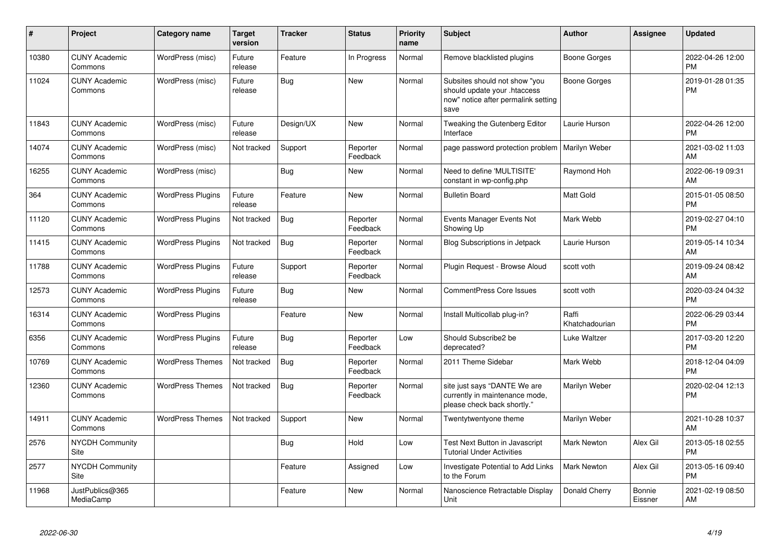| #     | Project                         | <b>Category name</b>     | <b>Target</b><br>version | <b>Tracker</b> | <b>Status</b>        | <b>Priority</b><br>name | <b>Subject</b>                                                                                               | <b>Author</b>           | <b>Assignee</b>   | <b>Updated</b>                |
|-------|---------------------------------|--------------------------|--------------------------|----------------|----------------------|-------------------------|--------------------------------------------------------------------------------------------------------------|-------------------------|-------------------|-------------------------------|
| 10380 | <b>CUNY Academic</b><br>Commons | WordPress (misc)         | Future<br>release        | Feature        | In Progress          | Normal                  | Remove blacklisted plugins                                                                                   | Boone Gorges            |                   | 2022-04-26 12:00<br><b>PM</b> |
| 11024 | <b>CUNY Academic</b><br>Commons | WordPress (misc)         | Future<br>release        | Bug            | <b>New</b>           | Normal                  | Subsites should not show "you<br>should update your .htaccess<br>now" notice after permalink setting<br>save | Boone Gorges            |                   | 2019-01-28 01:35<br><b>PM</b> |
| 11843 | <b>CUNY Academic</b><br>Commons | WordPress (misc)         | Future<br>release        | Design/UX      | <b>New</b>           | Normal                  | Tweaking the Gutenberg Editor<br>Interface                                                                   | Laurie Hurson           |                   | 2022-04-26 12:00<br><b>PM</b> |
| 14074 | <b>CUNY Academic</b><br>Commons | WordPress (misc)         | Not tracked              | Support        | Reporter<br>Feedback | Normal                  | page password protection problem                                                                             | Marilyn Weber           |                   | 2021-03-02 11:03<br>AM        |
| 16255 | <b>CUNY Academic</b><br>Commons | WordPress (misc)         |                          | Bug            | <b>New</b>           | Normal                  | Need to define 'MULTISITE'<br>constant in wp-config.php                                                      | Raymond Hoh             |                   | 2022-06-19 09:31<br>AM        |
| 364   | <b>CUNY Academic</b><br>Commons | <b>WordPress Plugins</b> | Future<br>release        | Feature        | <b>New</b>           | Normal                  | <b>Bulletin Board</b>                                                                                        | <b>Matt Gold</b>        |                   | 2015-01-05 08:50<br><b>PM</b> |
| 11120 | <b>CUNY Academic</b><br>Commons | <b>WordPress Plugins</b> | Not tracked              | Bug            | Reporter<br>Feedback | Normal                  | Events Manager Events Not<br>Showing Up                                                                      | Mark Webb               |                   | 2019-02-27 04:10<br><b>PM</b> |
| 11415 | <b>CUNY Academic</b><br>Commons | <b>WordPress Plugins</b> | Not tracked              | Bug            | Reporter<br>Feedback | Normal                  | <b>Blog Subscriptions in Jetpack</b>                                                                         | Laurie Hurson           |                   | 2019-05-14 10:34<br>AM        |
| 11788 | <b>CUNY Academic</b><br>Commons | <b>WordPress Plugins</b> | Future<br>release        | Support        | Reporter<br>Feedback | Normal                  | Plugin Request - Browse Aloud                                                                                | scott voth              |                   | 2019-09-24 08:42<br>AM        |
| 12573 | <b>CUNY Academic</b><br>Commons | <b>WordPress Plugins</b> | Future<br>release        | Bug            | <b>New</b>           | Normal                  | <b>CommentPress Core Issues</b>                                                                              | scott voth              |                   | 2020-03-24 04:32<br><b>PM</b> |
| 16314 | <b>CUNY Academic</b><br>Commons | <b>WordPress Plugins</b> |                          | Feature        | <b>New</b>           | Normal                  | Install Multicollab plug-in?                                                                                 | Raffi<br>Khatchadourian |                   | 2022-06-29 03:44<br><b>PM</b> |
| 6356  | <b>CUNY Academic</b><br>Commons | <b>WordPress Plugins</b> | Future<br>release        | Bug            | Reporter<br>Feedback | Low                     | Should Subscribe2 be<br>deprecated?                                                                          | Luke Waltzer            |                   | 2017-03-20 12:20<br><b>PM</b> |
| 10769 | <b>CUNY Academic</b><br>Commons | <b>WordPress Themes</b>  | Not tracked              | <b>Bug</b>     | Reporter<br>Feedback | Normal                  | 2011 Theme Sidebar                                                                                           | Mark Webb               |                   | 2018-12-04 04:09<br><b>PM</b> |
| 12360 | <b>CUNY Academic</b><br>Commons | <b>WordPress Themes</b>  | Not tracked              | Bug            | Reporter<br>Feedback | Normal                  | site just says "DANTE We are<br>currently in maintenance mode,<br>please check back shortly."                | Marilyn Weber           |                   | 2020-02-04 12:13<br><b>PM</b> |
| 14911 | <b>CUNY Academic</b><br>Commons | <b>WordPress Themes</b>  | Not tracked              | Support        | <b>New</b>           | Normal                  | Twentytwentyone theme                                                                                        | Marilyn Weber           |                   | 2021-10-28 10:37<br>AM        |
| 2576  | <b>NYCDH Community</b><br>Site  |                          |                          | Bug            | Hold                 | Low                     | Test Next Button in Javascript<br><b>Tutorial Under Activities</b>                                           | <b>Mark Newton</b>      | Alex Gil          | 2013-05-18 02:55<br><b>PM</b> |
| 2577  | <b>NYCDH Community</b><br>Site  |                          |                          | Feature        | Assigned             | Low                     | Investigate Potential to Add Links<br>to the Forum                                                           | <b>Mark Newton</b>      | Alex Gil          | 2013-05-16 09:40<br><b>PM</b> |
| 11968 | JustPublics@365<br>MediaCamp    |                          |                          | Feature        | New                  | Normal                  | Nanoscience Retractable Display<br>Unit                                                                      | Donald Cherry           | Bonnie<br>Eissner | 2021-02-19 08:50<br>AM        |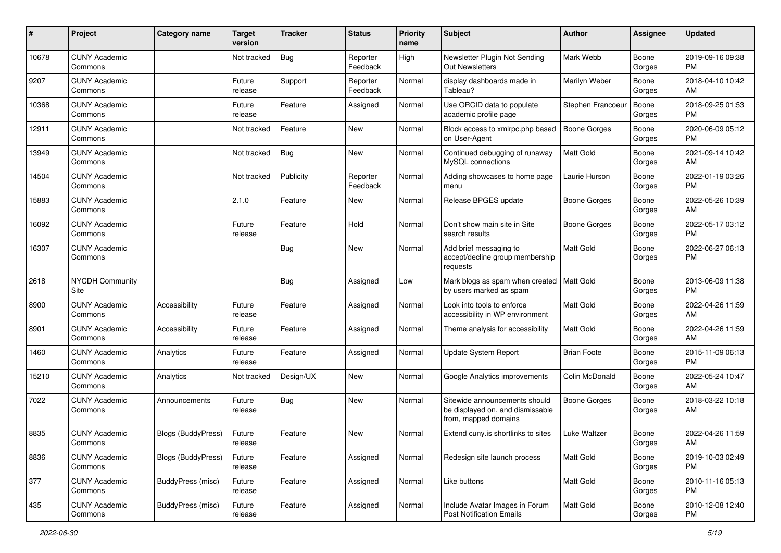| #     | Project                         | <b>Category name</b>      | <b>Target</b><br>version | <b>Tracker</b> | <b>Status</b>        | Priority<br>name | <b>Subject</b>                                                                            | Author              | <b>Assignee</b> | <b>Updated</b>                |
|-------|---------------------------------|---------------------------|--------------------------|----------------|----------------------|------------------|-------------------------------------------------------------------------------------------|---------------------|-----------------|-------------------------------|
| 10678 | <b>CUNY Academic</b><br>Commons |                           | Not tracked              | Bug            | Reporter<br>Feedback | High             | Newsletter Plugin Not Sending<br>Out Newsletters                                          | Mark Webb           | Boone<br>Gorges | 2019-09-16 09:38<br>PM.       |
| 9207  | <b>CUNY Academic</b><br>Commons |                           | Future<br>release        | Support        | Reporter<br>Feedback | Normal           | display dashboards made in<br>Tableau?                                                    | Marilyn Weber       | Boone<br>Gorges | 2018-04-10 10:42<br>AM        |
| 10368 | <b>CUNY Academic</b><br>Commons |                           | Future<br>release        | Feature        | Assigned             | Normal           | Use ORCID data to populate<br>academic profile page                                       | Stephen Francoeur   | Boone<br>Gorges | 2018-09-25 01:53<br><b>PM</b> |
| 12911 | <b>CUNY Academic</b><br>Commons |                           | Not tracked              | Feature        | New                  | Normal           | Block access to xmlrpc.php based<br>on User-Agent                                         | Boone Gorges        | Boone<br>Gorges | 2020-06-09 05:12<br><b>PM</b> |
| 13949 | <b>CUNY Academic</b><br>Commons |                           | Not tracked              | <b>Bug</b>     | New                  | Normal           | Continued debugging of runaway<br>MySQL connections                                       | <b>Matt Gold</b>    | Boone<br>Gorges | 2021-09-14 10:42<br>AM        |
| 14504 | <b>CUNY Academic</b><br>Commons |                           | Not tracked              | Publicity      | Reporter<br>Feedback | Normal           | Adding showcases to home page<br>menu                                                     | Laurie Hurson       | Boone<br>Gorges | 2022-01-19 03:26<br><b>PM</b> |
| 15883 | <b>CUNY Academic</b><br>Commons |                           | 2.1.0                    | Feature        | New                  | Normal           | Release BPGES update                                                                      | <b>Boone Gorges</b> | Boone<br>Gorges | 2022-05-26 10:39<br>AM        |
| 16092 | <b>CUNY Academic</b><br>Commons |                           | Future<br>release        | Feature        | Hold                 | Normal           | Don't show main site in Site<br>search results                                            | <b>Boone Gorges</b> | Boone<br>Gorges | 2022-05-17 03:12<br>PM.       |
| 16307 | <b>CUNY Academic</b><br>Commons |                           |                          | Bug            | New                  | Normal           | Add brief messaging to<br>accept/decline group membership<br>requests                     | <b>Matt Gold</b>    | Boone<br>Gorges | 2022-06-27 06:13<br><b>PM</b> |
| 2618  | <b>NYCDH Community</b><br>Site  |                           |                          | <b>Bug</b>     | Assigned             | Low              | Mark blogs as spam when created<br>by users marked as spam                                | <b>Matt Gold</b>    | Boone<br>Gorges | 2013-06-09 11:38<br><b>PM</b> |
| 8900  | <b>CUNY Academic</b><br>Commons | Accessibility             | Future<br>release        | Feature        | Assigned             | Normal           | Look into tools to enforce<br>accessibility in WP environment                             | <b>Matt Gold</b>    | Boone<br>Gorges | 2022-04-26 11:59<br>AM        |
| 8901  | <b>CUNY Academic</b><br>Commons | Accessibility             | Future<br>release        | Feature        | Assigned             | Normal           | Theme analysis for accessibility                                                          | <b>Matt Gold</b>    | Boone<br>Gorges | 2022-04-26 11:59<br>AM        |
| 1460  | <b>CUNY Academic</b><br>Commons | Analytics                 | Future<br>release        | Feature        | Assigned             | Normal           | Update System Report                                                                      | <b>Brian Foote</b>  | Boone<br>Gorges | 2015-11-09 06:13<br><b>PM</b> |
| 15210 | <b>CUNY Academic</b><br>Commons | Analytics                 | Not tracked              | Design/UX      | New                  | Normal           | Google Analytics improvements                                                             | Colin McDonald      | Boone<br>Gorges | 2022-05-24 10:47<br>AM        |
| 7022  | <b>CUNY Academic</b><br>Commons | Announcements             | Future<br>release        | <b>Bug</b>     | New                  | Normal           | Sitewide announcements should<br>be displayed on, and dismissable<br>from, mapped domains | Boone Gorges        | Boone<br>Gorges | 2018-03-22 10:18<br>AM        |
| 8835  | <b>CUNY Academic</b><br>Commons | Blogs (BuddyPress)        | Future<br>release        | Feature        | New                  | Normal           | Extend cuny is shortlinks to sites                                                        | Luke Waltzer        | Boone<br>Gorges | 2022-04-26 11:59<br>AM        |
| 8836  | <b>CUNY Academic</b><br>Commons | <b>Blogs (BuddyPress)</b> | Future<br>release        | Feature        | Assigned             | Normal           | Redesign site launch process                                                              | Matt Gold           | Boone<br>Gorges | 2019-10-03 02:49<br><b>PM</b> |
| 377   | <b>CUNY Academic</b><br>Commons | BuddyPress (misc)         | Future<br>release        | Feature        | Assigned             | Normal           | Like buttons                                                                              | Matt Gold           | Boone<br>Gorges | 2010-11-16 05:13<br><b>PM</b> |
| 435   | <b>CUNY Academic</b><br>Commons | <b>BuddyPress (misc)</b>  | Future<br>release        | Feature        | Assigned             | Normal           | Include Avatar Images in Forum<br><b>Post Notification Emails</b>                         | Matt Gold           | Boone<br>Gorges | 2010-12-08 12:40<br><b>PM</b> |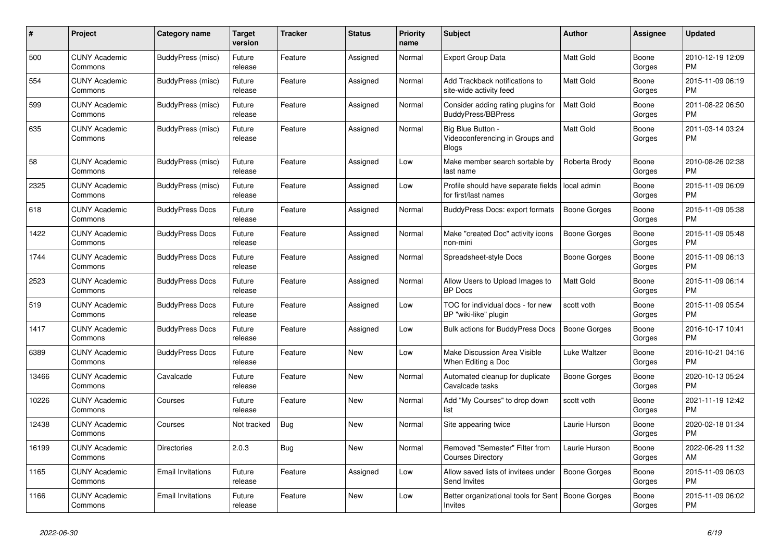| #     | <b>Project</b>                  | Category name            | Target<br>version | <b>Tracker</b> | <b>Status</b> | Priority<br>name | <b>Subject</b>                                                       | <b>Author</b>       | Assignee        | <b>Updated</b>                |
|-------|---------------------------------|--------------------------|-------------------|----------------|---------------|------------------|----------------------------------------------------------------------|---------------------|-----------------|-------------------------------|
| 500   | <b>CUNY Academic</b><br>Commons | BuddyPress (misc)        | Future<br>release | Feature        | Assigned      | Normal           | <b>Export Group Data</b>                                             | <b>Matt Gold</b>    | Boone<br>Gorges | 2010-12-19 12:09<br><b>PM</b> |
| 554   | <b>CUNY Academic</b><br>Commons | BuddyPress (misc)        | Future<br>release | Feature        | Assigned      | Normal           | Add Trackback notifications to<br>site-wide activity feed            | <b>Matt Gold</b>    | Boone<br>Gorges | 2015-11-09 06:19<br>PM.       |
| 599   | <b>CUNY Academic</b><br>Commons | BuddyPress (misc)        | Future<br>release | Feature        | Assigned      | Normal           | Consider adding rating plugins for<br><b>BuddyPress/BBPress</b>      | <b>Matt Gold</b>    | Boone<br>Gorges | 2011-08-22 06:50<br><b>PM</b> |
| 635   | <b>CUNY Academic</b><br>Commons | BuddyPress (misc)        | Future<br>release | Feature        | Assigned      | Normal           | Big Blue Button -<br>Videoconferencing in Groups and<br><b>Blogs</b> | Matt Gold           | Boone<br>Gorges | 2011-03-14 03:24<br><b>PM</b> |
| 58    | <b>CUNY Academic</b><br>Commons | BuddyPress (misc)        | Future<br>release | Feature        | Assigned      | Low              | Make member search sortable by<br>last name                          | Roberta Brody       | Boone<br>Gorges | 2010-08-26 02:38<br><b>PM</b> |
| 2325  | <b>CUNY Academic</b><br>Commons | BuddyPress (misc)        | Future<br>release | Feature        | Assigned      | Low              | Profile should have separate fields<br>for first/last names          | local admin         | Boone<br>Gorges | 2015-11-09 06:09<br><b>PM</b> |
| 618   | <b>CUNY Academic</b><br>Commons | <b>BuddyPress Docs</b>   | Future<br>release | Feature        | Assigned      | Normal           | BuddyPress Docs: export formats                                      | Boone Gorges        | Boone<br>Gorges | 2015-11-09 05:38<br><b>PM</b> |
| 1422  | <b>CUNY Academic</b><br>Commons | <b>BuddyPress Docs</b>   | Future<br>release | Feature        | Assigned      | Normal           | Make "created Doc" activity icons<br>non-mini                        | Boone Gorges        | Boone<br>Gorges | 2015-11-09 05:48<br><b>PM</b> |
| 1744  | <b>CUNY Academic</b><br>Commons | <b>BuddyPress Docs</b>   | Future<br>release | Feature        | Assigned      | Normal           | Spreadsheet-style Docs                                               | Boone Gorges        | Boone<br>Gorges | 2015-11-09 06:13<br><b>PM</b> |
| 2523  | <b>CUNY Academic</b><br>Commons | <b>BuddyPress Docs</b>   | Future<br>release | Feature        | Assigned      | Normal           | Allow Users to Upload Images to<br><b>BP</b> Docs                    | <b>Matt Gold</b>    | Boone<br>Gorges | 2015-11-09 06:14<br><b>PM</b> |
| 519   | <b>CUNY Academic</b><br>Commons | <b>BuddyPress Docs</b>   | Future<br>release | Feature        | Assigned      | Low              | TOC for individual docs - for new<br>BP "wiki-like" plugin           | scott voth          | Boone<br>Gorges | 2015-11-09 05:54<br><b>PM</b> |
| 1417  | <b>CUNY Academic</b><br>Commons | <b>BuddyPress Docs</b>   | Future<br>release | Feature        | Assigned      | Low              | <b>Bulk actions for BuddyPress Docs</b>                              | Boone Gorges        | Boone<br>Gorges | 2016-10-17 10:41<br><b>PM</b> |
| 6389  | <b>CUNY Academic</b><br>Commons | <b>BuddyPress Docs</b>   | Future<br>release | Feature        | <b>New</b>    | Low              | Make Discussion Area Visible<br>When Editing a Doc                   | Luke Waltzer        | Boone<br>Gorges | 2016-10-21 04:16<br><b>PM</b> |
| 13466 | <b>CUNY Academic</b><br>Commons | Cavalcade                | Future<br>release | Feature        | New           | Normal           | Automated cleanup for duplicate<br>Cavalcade tasks                   | Boone Gorges        | Boone<br>Gorges | 2020-10-13 05:24<br><b>PM</b> |
| 10226 | <b>CUNY Academic</b><br>Commons | Courses                  | Future<br>release | Feature        | New           | Normal           | Add "My Courses" to drop down<br>list                                | scott voth          | Boone<br>Gorges | 2021-11-19 12:42<br><b>PM</b> |
| 12438 | <b>CUNY Academic</b><br>Commons | Courses                  | Not tracked       | Bug            | <b>New</b>    | Normal           | Site appearing twice                                                 | Laurie Hurson       | Boone<br>Gorges | 2020-02-18 01:34<br><b>PM</b> |
| 16199 | <b>CUNY Academic</b><br>Commons | <b>Directories</b>       | 2.0.3             | Bug            | <b>New</b>    | Normal           | Removed "Semester" Filter from<br><b>Courses Directory</b>           | Laurie Hurson       | Boone<br>Gorges | 2022-06-29 11:32<br>AM        |
| 1165  | <b>CUNY Academic</b><br>Commons | <b>Email Invitations</b> | Future<br>release | Feature        | Assigned      | Low              | Allow saved lists of invitees under<br>Send Invites                  | Boone Gorges        | Boone<br>Gorges | 2015-11-09 06:03<br>PM.       |
| 1166  | <b>CUNY Academic</b><br>Commons | <b>Email Invitations</b> | Future<br>release | Feature        | <b>New</b>    | Low              | Better organizational tools for Sent<br>Invites                      | <b>Boone Gorges</b> | Boone<br>Gorges | 2015-11-09 06:02<br><b>PM</b> |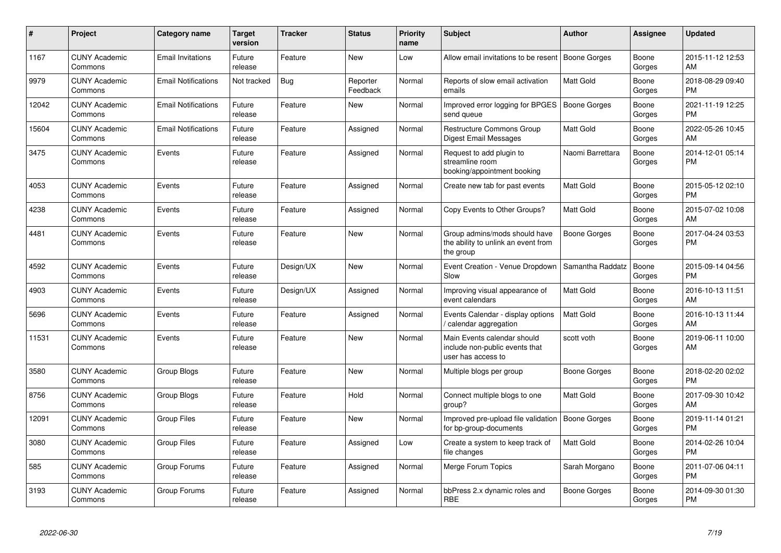| #     | <b>Project</b>                  | <b>Category name</b>       | <b>Target</b><br>version | <b>Tracker</b> | <b>Status</b>        | <b>Priority</b><br>name | <b>Subject</b>                                                                      | <b>Author</b>       | Assignee        | <b>Updated</b>                |
|-------|---------------------------------|----------------------------|--------------------------|----------------|----------------------|-------------------------|-------------------------------------------------------------------------------------|---------------------|-----------------|-------------------------------|
| 1167  | <b>CUNY Academic</b><br>Commons | <b>Email Invitations</b>   | Future<br>release        | Feature        | <b>New</b>           | Low                     | Allow email invitations to be resent                                                | Boone Gorges        | Boone<br>Gorges | 2015-11-12 12:53<br>AM        |
| 9979  | <b>CUNY Academic</b><br>Commons | <b>Email Notifications</b> | Not tracked              | Bug            | Reporter<br>Feedback | Normal                  | Reports of slow email activation<br>emails                                          | Matt Gold           | Boone<br>Gorges | 2018-08-29 09:40<br>PM        |
| 12042 | <b>CUNY Academic</b><br>Commons | <b>Email Notifications</b> | Future<br>release        | Feature        | New                  | Normal                  | Improved error logging for BPGES<br>send queue                                      | Boone Gorges        | Boone<br>Gorges | 2021-11-19 12:25<br><b>PM</b> |
| 15604 | <b>CUNY Academic</b><br>Commons | <b>Email Notifications</b> | Future<br>release        | Feature        | Assigned             | Normal                  | Restructure Commons Group<br>Digest Email Messages                                  | Matt Gold           | Boone<br>Gorges | 2022-05-26 10:45<br>AM        |
| 3475  | <b>CUNY Academic</b><br>Commons | Events                     | Future<br>release        | Feature        | Assigned             | Normal                  | Request to add plugin to<br>streamline room<br>booking/appointment booking          | Naomi Barrettara    | Boone<br>Gorges | 2014-12-01 05:14<br><b>PM</b> |
| 4053  | <b>CUNY Academic</b><br>Commons | Events                     | Future<br>release        | Feature        | Assigned             | Normal                  | Create new tab for past events                                                      | <b>Matt Gold</b>    | Boone<br>Gorges | 2015-05-12 02:10<br><b>PM</b> |
| 4238  | <b>CUNY Academic</b><br>Commons | Events                     | Future<br>release        | Feature        | Assigned             | Normal                  | Copy Events to Other Groups?                                                        | Matt Gold           | Boone<br>Gorges | 2015-07-02 10:08<br>AM        |
| 4481  | <b>CUNY Academic</b><br>Commons | Events                     | Future<br>release        | Feature        | New                  | Normal                  | Group admins/mods should have<br>the ability to unlink an event from<br>the group   | Boone Gorges        | Boone<br>Gorges | 2017-04-24 03:53<br><b>PM</b> |
| 4592  | <b>CUNY Academic</b><br>Commons | Events                     | Future<br>release        | Design/UX      | <b>New</b>           | Normal                  | Event Creation - Venue Dropdown<br>Slow                                             | Samantha Raddatz    | Boone<br>Gorges | 2015-09-14 04:56<br><b>PM</b> |
| 4903  | <b>CUNY Academic</b><br>Commons | Events                     | Future<br>release        | Design/UX      | Assigned             | Normal                  | Improving visual appearance of<br>event calendars                                   | <b>Matt Gold</b>    | Boone<br>Gorges | 2016-10-13 11:51<br>AM        |
| 5696  | <b>CUNY Academic</b><br>Commons | Events                     | Future<br>release        | Feature        | Assigned             | Normal                  | Events Calendar - display options<br>/ calendar aggregation                         | Matt Gold           | Boone<br>Gorges | 2016-10-13 11:44<br>AM        |
| 11531 | <b>CUNY Academic</b><br>Commons | Events                     | Future<br>release        | Feature        | <b>New</b>           | Normal                  | Main Events calendar should<br>include non-public events that<br>user has access to | scott voth          | Boone<br>Gorges | 2019-06-11 10:00<br>AM        |
| 3580  | <b>CUNY Academic</b><br>Commons | Group Blogs                | Future<br>release        | Feature        | <b>New</b>           | Normal                  | Multiple blogs per group                                                            | <b>Boone Gorges</b> | Boone<br>Gorges | 2018-02-20 02:02<br><b>PM</b> |
| 8756  | <b>CUNY Academic</b><br>Commons | Group Blogs                | Future<br>release        | Feature        | Hold                 | Normal                  | Connect multiple blogs to one<br>group?                                             | Matt Gold           | Boone<br>Gorges | 2017-09-30 10:42<br>AM        |
| 12091 | <b>CUNY Academic</b><br>Commons | <b>Group Files</b>         | Future<br>release        | Feature        | <b>New</b>           | Normal                  | Improved pre-upload file validation<br>for bp-group-documents                       | Boone Gorges        | Boone<br>Gorges | 2019-11-14 01:21<br><b>PM</b> |
| 3080  | <b>CUNY Academic</b><br>Commons | <b>Group Files</b>         | Future<br>release        | Feature        | Assigned             | Low                     | Create a system to keep track of<br>file changes                                    | Matt Gold           | Boone<br>Gorges | 2014-02-26 10:04<br><b>PM</b> |
| 585   | <b>CUNY Academic</b><br>Commons | Group Forums               | Future<br>release        | Feature        | Assigned             | Normal                  | Merge Forum Topics                                                                  | Sarah Morgano       | Boone<br>Gorges | 2011-07-06 04:11<br>PM        |
| 3193  | <b>CUNY Academic</b><br>Commons | Group Forums               | Future<br>release        | Feature        | Assigned             | Normal                  | bbPress 2.x dynamic roles and<br><b>RBE</b>                                         | Boone Gorges        | Boone<br>Gorges | 2014-09-30 01:30<br>PM        |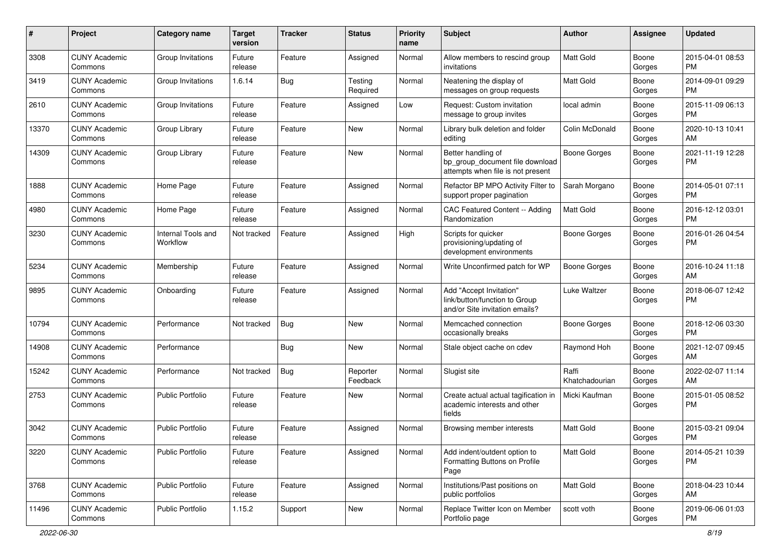| #     | Project                         | <b>Category name</b>           | <b>Target</b><br>version | <b>Tracker</b> | <b>Status</b>        | <b>Priority</b><br>name | <b>Subject</b>                                                                             | Author                  | <b>Assignee</b> | <b>Updated</b>                |
|-------|---------------------------------|--------------------------------|--------------------------|----------------|----------------------|-------------------------|--------------------------------------------------------------------------------------------|-------------------------|-----------------|-------------------------------|
| 3308  | <b>CUNY Academic</b><br>Commons | Group Invitations              | Future<br>release        | Feature        | Assigned             | Normal                  | Allow members to rescind group<br>invitations                                              | <b>Matt Gold</b>        | Boone<br>Gorges | 2015-04-01 08:53<br><b>PM</b> |
| 3419  | <b>CUNY Academic</b><br>Commons | Group Invitations              | 1.6.14                   | Bug            | Testing<br>Required  | Normal                  | Neatening the display of<br>messages on group requests                                     | Matt Gold               | Boone<br>Gorges | 2014-09-01 09:29<br><b>PM</b> |
| 2610  | <b>CUNY Academic</b><br>Commons | Group Invitations              | Future<br>release        | Feature        | Assigned             | Low                     | Request: Custom invitation<br>message to group invites                                     | local admin             | Boone<br>Gorges | 2015-11-09 06:13<br><b>PM</b> |
| 13370 | <b>CUNY Academic</b><br>Commons | Group Library                  | Future<br>release        | Feature        | New                  | Normal                  | Library bulk deletion and folder<br>editing                                                | Colin McDonald          | Boone<br>Gorges | 2020-10-13 10:41<br>AM        |
| 14309 | <b>CUNY Academic</b><br>Commons | Group Library                  | Future<br>release        | Feature        | New                  | Normal                  | Better handling of<br>bp group document file download<br>attempts when file is not present | Boone Gorges            | Boone<br>Gorges | 2021-11-19 12:28<br><b>PM</b> |
| 1888  | <b>CUNY Academic</b><br>Commons | Home Page                      | Future<br>release        | Feature        | Assigned             | Normal                  | Refactor BP MPO Activity Filter to<br>support proper pagination                            | Sarah Morgano           | Boone<br>Gorges | 2014-05-01 07:11<br><b>PM</b> |
| 4980  | <b>CUNY Academic</b><br>Commons | Home Page                      | Future<br>release        | Feature        | Assigned             | Normal                  | CAC Featured Content -- Adding<br>Randomization                                            | Matt Gold               | Boone<br>Gorges | 2016-12-12 03:01<br><b>PM</b> |
| 3230  | <b>CUNY Academic</b><br>Commons | Internal Tools and<br>Workflow | Not tracked              | Feature        | Assigned             | High                    | Scripts for quicker<br>provisioning/updating of<br>development environments                | <b>Boone Gorges</b>     | Boone<br>Gorges | 2016-01-26 04:54<br><b>PM</b> |
| 5234  | <b>CUNY Academic</b><br>Commons | Membership                     | Future<br>release        | Feature        | Assigned             | Normal                  | Write Unconfirmed patch for WP                                                             | <b>Boone Gorges</b>     | Boone<br>Gorges | 2016-10-24 11:18<br>AM        |
| 9895  | <b>CUNY Academic</b><br>Commons | Onboarding                     | Future<br>release        | Feature        | Assigned             | Normal                  | Add "Accept Invitation"<br>link/button/function to Group<br>and/or Site invitation emails? | Luke Waltzer            | Boone<br>Gorges | 2018-06-07 12:42<br>PM        |
| 10794 | <b>CUNY Academic</b><br>Commons | Performance                    | Not tracked              | Bug            | New                  | Normal                  | Memcached connection<br>occasionally breaks                                                | <b>Boone Gorges</b>     | Boone<br>Gorges | 2018-12-06 03:30<br>PM.       |
| 14908 | <b>CUNY Academic</b><br>Commons | Performance                    |                          | <b>Bug</b>     | New                  | Normal                  | Stale object cache on cdev                                                                 | Raymond Hoh             | Boone<br>Gorges | 2021-12-07 09:45<br>AM        |
| 15242 | <b>CUNY Academic</b><br>Commons | Performance                    | Not tracked              | Bug            | Reporter<br>Feedback | Normal                  | Slugist site                                                                               | Raffi<br>Khatchadourian | Boone<br>Gorges | 2022-02-07 11:14<br>AM        |
| 2753  | <b>CUNY Academic</b><br>Commons | Public Portfolio               | Future<br>release        | Feature        | New                  | Normal                  | Create actual actual tagification in<br>academic interests and other<br>fields             | Micki Kaufman           | Boone<br>Gorges | 2015-01-05 08:52<br><b>PM</b> |
| 3042  | <b>CUNY Academic</b><br>Commons | <b>Public Portfolio</b>        | Future<br>release        | Feature        | Assigned             | Normal                  | Browsing member interests                                                                  | Matt Gold               | Boone<br>Gorges | 2015-03-21 09:04<br><b>PM</b> |
| 3220  | <b>CUNY Academic</b><br>Commons | Public Portfolio               | Future<br>release        | Feature        | Assigned             | Normal                  | Add indent/outdent option to<br>Formatting Buttons on Profile<br>Page                      | Matt Gold               | Boone<br>Gorges | 2014-05-21 10:39<br>PM.       |
| 3768  | <b>CUNY Academic</b><br>Commons | Public Portfolio               | Future<br>release        | Feature        | Assigned             | Normal                  | Institutions/Past positions on<br>public portfolios                                        | Matt Gold               | Boone<br>Gorges | 2018-04-23 10:44<br>AM        |
| 11496 | <b>CUNY Academic</b><br>Commons | Public Portfolio               | 1.15.2                   | Support        | New                  | Normal                  | Replace Twitter Icon on Member<br>Portfolio page                                           | scott voth              | Boone<br>Gorges | 2019-06-06 01:03<br>PM        |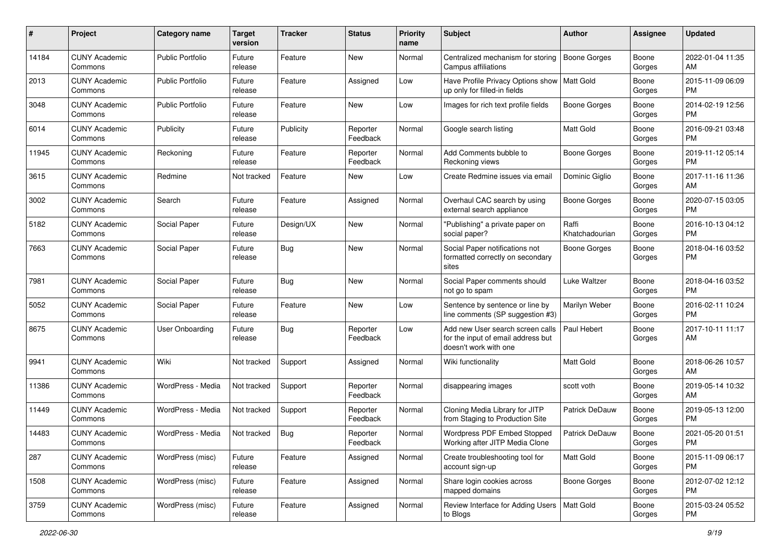| #     | Project                         | <b>Category name</b>    | <b>Target</b><br>version | <b>Tracker</b> | <b>Status</b>        | <b>Priority</b><br>name | <b>Subject</b>                                                                                  | Author                  | Assignee        | <b>Updated</b>                |
|-------|---------------------------------|-------------------------|--------------------------|----------------|----------------------|-------------------------|-------------------------------------------------------------------------------------------------|-------------------------|-----------------|-------------------------------|
| 14184 | <b>CUNY Academic</b><br>Commons | <b>Public Portfolio</b> | Future<br>release        | Feature        | New                  | Normal                  | Centralized mechanism for storing<br>Campus affiliations                                        | <b>Boone Gorges</b>     | Boone<br>Gorges | 2022-01-04 11:35<br>AM        |
| 2013  | <b>CUNY Academic</b><br>Commons | <b>Public Portfolio</b> | Future<br>release        | Feature        | Assigned             | Low                     | Have Profile Privacy Options show   Matt Gold<br>up only for filled-in fields                   |                         | Boone<br>Gorges | 2015-11-09 06:09<br><b>PM</b> |
| 3048  | CUNY Academic<br>Commons        | <b>Public Portfolio</b> | Future<br>release        | Feature        | New                  | Low                     | Images for rich text profile fields                                                             | Boone Gorges            | Boone<br>Gorges | 2014-02-19 12:56<br><b>PM</b> |
| 6014  | <b>CUNY Academic</b><br>Commons | Publicity               | Future<br>release        | Publicity      | Reporter<br>Feedback | Normal                  | Google search listing                                                                           | <b>Matt Gold</b>        | Boone<br>Gorges | 2016-09-21 03:48<br><b>PM</b> |
| 11945 | <b>CUNY Academic</b><br>Commons | Reckoning               | Future<br>release        | Feature        | Reporter<br>Feedback | Normal                  | Add Comments bubble to<br>Reckoning views                                                       | Boone Gorges            | Boone<br>Gorges | 2019-11-12 05:14<br><b>PM</b> |
| 3615  | <b>CUNY Academic</b><br>Commons | Redmine                 | Not tracked              | Feature        | New                  | Low                     | Create Redmine issues via email                                                                 | Dominic Giglio          | Boone<br>Gorges | 2017-11-16 11:36<br>AM        |
| 3002  | <b>CUNY Academic</b><br>Commons | Search                  | Future<br>release        | Feature        | Assigned             | Normal                  | Overhaul CAC search by using<br>external search appliance                                       | <b>Boone Gorges</b>     | Boone<br>Gorges | 2020-07-15 03:05<br><b>PM</b> |
| 5182  | <b>CUNY Academic</b><br>Commons | Social Paper            | Future<br>release        | Design/UX      | New                  | Normal                  | "Publishing" a private paper on<br>social paper?                                                | Raffi<br>Khatchadourian | Boone<br>Gorges | 2016-10-13 04:12<br>PM.       |
| 7663  | <b>CUNY Academic</b><br>Commons | Social Paper            | Future<br>release        | Bug            | New                  | Normal                  | Social Paper notifications not<br>formatted correctly on secondary<br>sites                     | <b>Boone Gorges</b>     | Boone<br>Gorges | 2018-04-16 03:52<br><b>PM</b> |
| 7981  | <b>CUNY Academic</b><br>Commons | Social Paper            | Future<br>release        | Bug            | New                  | Normal                  | Social Paper comments should<br>not go to spam                                                  | Luke Waltzer            | Boone<br>Gorges | 2018-04-16 03:52<br><b>PM</b> |
| 5052  | CUNY Academic<br>Commons        | Social Paper            | Future<br>release        | Feature        | New                  | Low                     | Sentence by sentence or line by<br>line comments (SP suggestion #3)                             | Marilyn Weber           | Boone<br>Gorges | 2016-02-11 10:24<br><b>PM</b> |
| 8675  | <b>CUNY Academic</b><br>Commons | <b>User Onboarding</b>  | Future<br>release        | Bug            | Reporter<br>Feedback | Low                     | Add new User search screen calls<br>for the input of email address but<br>doesn't work with one | Paul Hebert             | Boone<br>Gorges | 2017-10-11 11:17<br>AM        |
| 9941  | <b>CUNY Academic</b><br>Commons | Wiki                    | Not tracked              | Support        | Assigned             | Normal                  | Wiki functionality                                                                              | <b>Matt Gold</b>        | Boone<br>Gorges | 2018-06-26 10:57<br>AM        |
| 11386 | <b>CUNY Academic</b><br>Commons | WordPress - Media       | Not tracked              | Support        | Reporter<br>Feedback | Normal                  | disappearing images                                                                             | scott voth              | Boone<br>Gorges | 2019-05-14 10:32<br>AM        |
| 11449 | <b>CUNY Academic</b><br>Commons | WordPress - Media       | Not tracked              | Support        | Reporter<br>Feedback | Normal                  | Cloning Media Library for JITP<br>from Staging to Production Site                               | Patrick DeDauw          | Boone<br>Gorges | 2019-05-13 12:00<br><b>PM</b> |
| 14483 | CUNY Academic<br>Commons        | WordPress - Media       | Not tracked              | Bug            | Reporter<br>Feedback | Normal                  | Wordpress PDF Embed Stopped<br>Working after JITP Media Clone                                   | Patrick DeDauw          | Boone<br>Gorges | 2021-05-20 01:51<br>PM        |
| 287   | <b>CUNY Academic</b><br>Commons | WordPress (misc)        | Future<br>release        | Feature        | Assigned             | Normal                  | Create troubleshooting tool for<br>account sign-up                                              | Matt Gold               | Boone<br>Gorges | 2015-11-09 06:17<br><b>PM</b> |
| 1508  | <b>CUNY Academic</b><br>Commons | WordPress (misc)        | Future<br>release        | Feature        | Assigned             | Normal                  | Share login cookies across<br>mapped domains                                                    | Boone Gorges            | Boone<br>Gorges | 2012-07-02 12:12<br><b>PM</b> |
| 3759  | <b>CUNY Academic</b><br>Commons | WordPress (misc)        | Future<br>release        | Feature        | Assigned             | Normal                  | Review Interface for Adding Users   Matt Gold<br>to Blogs                                       |                         | Boone<br>Gorges | 2015-03-24 05:52<br>PM        |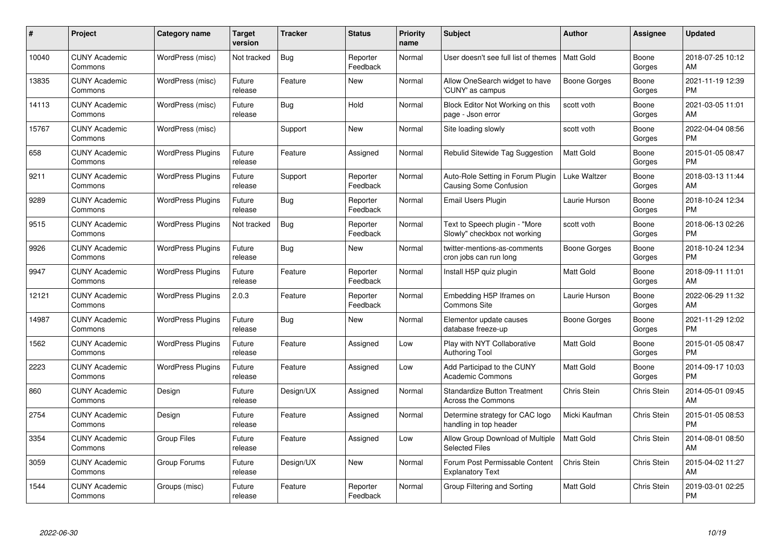| #     | Project                         | <b>Category name</b>     | <b>Target</b><br>version | <b>Tracker</b> | <b>Status</b>        | <b>Priority</b><br>name | <b>Subject</b>                                                     | <b>Author</b>    | Assignee           | <b>Updated</b>                |
|-------|---------------------------------|--------------------------|--------------------------|----------------|----------------------|-------------------------|--------------------------------------------------------------------|------------------|--------------------|-------------------------------|
| 10040 | <b>CUNY Academic</b><br>Commons | WordPress (misc)         | Not tracked              | Bug            | Reporter<br>Feedback | Normal                  | User doesn't see full list of themes                               | l Matt Gold      | Boone<br>Gorges    | 2018-07-25 10:12<br>AM        |
| 13835 | <b>CUNY Academic</b><br>Commons | WordPress (misc)         | Future<br>release        | Feature        | New                  | Normal                  | Allow OneSearch widget to have<br>'CUNY' as campus                 | Boone Gorges     | Boone<br>Gorges    | 2021-11-19 12:39<br><b>PM</b> |
| 14113 | <b>CUNY Academic</b><br>Commons | WordPress (misc)         | Future<br>release        | Bug            | Hold                 | Normal                  | Block Editor Not Working on this<br>page - Json error              | scott voth       | Boone<br>Gorges    | 2021-03-05 11:01<br>AM        |
| 15767 | <b>CUNY Academic</b><br>Commons | WordPress (misc)         |                          | Support        | <b>New</b>           | Normal                  | Site loading slowly                                                | scott voth       | Boone<br>Gorges    | 2022-04-04 08:56<br><b>PM</b> |
| 658   | <b>CUNY Academic</b><br>Commons | <b>WordPress Plugins</b> | Future<br>release        | Feature        | Assigned             | Normal                  | Rebulid Sitewide Tag Suggestion                                    | <b>Matt Gold</b> | Boone<br>Gorges    | 2015-01-05 08:47<br><b>PM</b> |
| 9211  | <b>CUNY Academic</b><br>Commons | <b>WordPress Plugins</b> | Future<br>release        | Support        | Reporter<br>Feedback | Normal                  | Auto-Role Setting in Forum Plugin<br><b>Causing Some Confusion</b> | Luke Waltzer     | Boone<br>Gorges    | 2018-03-13 11:44<br>AM        |
| 9289  | <b>CUNY Academic</b><br>Commons | <b>WordPress Plugins</b> | Future<br>release        | <b>Bug</b>     | Reporter<br>Feedback | Normal                  | Email Users Plugin                                                 | Laurie Hurson    | Boone<br>Gorges    | 2018-10-24 12:34<br><b>PM</b> |
| 9515  | <b>CUNY Academic</b><br>Commons | <b>WordPress Plugins</b> | Not tracked              | <b>Bug</b>     | Reporter<br>Feedback | Normal                  | Text to Speech plugin - "More<br>Slowly" checkbox not working      | scott voth       | Boone<br>Gorges    | 2018-06-13 02:26<br><b>PM</b> |
| 9926  | <b>CUNY Academic</b><br>Commons | <b>WordPress Plugins</b> | Future<br>release        | Bug            | New                  | Normal                  | twitter-mentions-as-comments<br>cron jobs can run long             | Boone Gorges     | Boone<br>Gorges    | 2018-10-24 12:34<br><b>PM</b> |
| 9947  | <b>CUNY Academic</b><br>Commons | <b>WordPress Plugins</b> | Future<br>release        | Feature        | Reporter<br>Feedback | Normal                  | Install H5P quiz plugin                                            | Matt Gold        | Boone<br>Gorges    | 2018-09-11 11:01<br>AM        |
| 12121 | <b>CUNY Academic</b><br>Commons | <b>WordPress Plugins</b> | 2.0.3                    | Feature        | Reporter<br>Feedback | Normal                  | Embedding H5P Iframes on<br>Commons Site                           | Laurie Hurson    | Boone<br>Gorges    | 2022-06-29 11:32<br>AM        |
| 14987 | <b>CUNY Academic</b><br>Commons | <b>WordPress Plugins</b> | Future<br>release        | Bug            | New                  | Normal                  | Elementor update causes<br>database freeze-up                      | Boone Gorges     | Boone<br>Gorges    | 2021-11-29 12:02<br><b>PM</b> |
| 1562  | <b>CUNY Academic</b><br>Commons | <b>WordPress Plugins</b> | Future<br>release        | Feature        | Assigned             | Low                     | Play with NYT Collaborative<br>Authoring Tool                      | <b>Matt Gold</b> | Boone<br>Gorges    | 2015-01-05 08:47<br><b>PM</b> |
| 2223  | <b>CUNY Academic</b><br>Commons | <b>WordPress Plugins</b> | Future<br>release        | Feature        | Assigned             | Low                     | Add Participad to the CUNY<br><b>Academic Commons</b>              | Matt Gold        | Boone<br>Gorges    | 2014-09-17 10:03<br><b>PM</b> |
| 860   | <b>CUNY Academic</b><br>Commons | Design                   | Future<br>release        | Design/UX      | Assigned             | Normal                  | <b>Standardize Button Treatment</b><br><b>Across the Commons</b>   | Chris Stein      | <b>Chris Stein</b> | 2014-05-01 09:45<br>AM        |
| 2754  | <b>CUNY Academic</b><br>Commons | Design                   | Future<br>release        | Feature        | Assigned             | Normal                  | Determine strategy for CAC logo<br>handling in top header          | Micki Kaufman    | Chris Stein        | 2015-01-05 08:53<br><b>PM</b> |
| 3354  | <b>CUNY Academic</b><br>Commons | <b>Group Files</b>       | Future<br>release        | Feature        | Assigned             | Low                     | Allow Group Download of Multiple<br><b>Selected Files</b>          | <b>Matt Gold</b> | <b>Chris Stein</b> | 2014-08-01 08:50<br>AM        |
| 3059  | <b>CUNY Academic</b><br>Commons | Group Forums             | Future<br>release        | Design/UX      | New                  | Normal                  | Forum Post Permissable Content<br><b>Explanatory Text</b>          | Chris Stein      | Chris Stein        | 2015-04-02 11:27<br>AM        |
| 1544  | <b>CUNY Academic</b><br>Commons | Groups (misc)            | Future<br>release        | Feature        | Reporter<br>Feedback | Normal                  | Group Filtering and Sorting                                        | Matt Gold        | <b>Chris Stein</b> | 2019-03-01 02:25<br>PM        |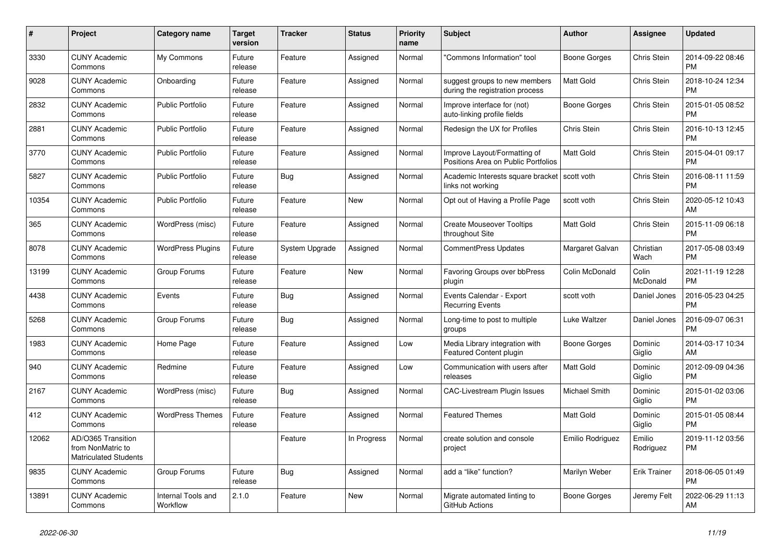| #     | Project                                                                 | <b>Category name</b>           | <b>Target</b><br>version | <b>Tracker</b> | <b>Status</b> | <b>Priority</b><br>name | <b>Subject</b>                                                      | <b>Author</b>    | Assignee            | <b>Updated</b>                |
|-------|-------------------------------------------------------------------------|--------------------------------|--------------------------|----------------|---------------|-------------------------|---------------------------------------------------------------------|------------------|---------------------|-------------------------------|
| 3330  | <b>CUNY Academic</b><br>Commons                                         | My Commons                     | Future<br>release        | Feature        | Assigned      | Normal                  | "Commons Information" tool                                          | Boone Gorges     | Chris Stein         | 2014-09-22 08:46<br><b>PM</b> |
| 9028  | <b>CUNY Academic</b><br>Commons                                         | Onboarding                     | Future<br>release        | Feature        | Assigned      | Normal                  | suggest groups to new members<br>during the registration process    | <b>Matt Gold</b> | Chris Stein         | 2018-10-24 12:34<br><b>PM</b> |
| 2832  | <b>CUNY Academic</b><br>Commons                                         | <b>Public Portfolio</b>        | Future<br>release        | Feature        | Assigned      | Normal                  | Improve interface for (not)<br>auto-linking profile fields          | Boone Gorges     | Chris Stein         | 2015-01-05 08:52<br><b>PM</b> |
| 2881  | <b>CUNY Academic</b><br>Commons                                         | <b>Public Portfolio</b>        | Future<br>release        | Feature        | Assigned      | Normal                  | Redesign the UX for Profiles                                        | Chris Stein      | Chris Stein         | 2016-10-13 12:45<br><b>PM</b> |
| 3770  | <b>CUNY Academic</b><br>Commons                                         | <b>Public Portfolio</b>        | Future<br>release        | Feature        | Assigned      | Normal                  | Improve Layout/Formatting of<br>Positions Area on Public Portfolios | <b>Matt Gold</b> | Chris Stein         | 2015-04-01 09:17<br><b>PM</b> |
| 5827  | <b>CUNY Academic</b><br>Commons                                         | <b>Public Portfolio</b>        | Future<br>release        | Bug            | Assigned      | Normal                  | Academic Interests square bracket<br>links not working              | scott voth       | Chris Stein         | 2016-08-11 11:59<br><b>PM</b> |
| 10354 | <b>CUNY Academic</b><br>Commons                                         | <b>Public Portfolio</b>        | Future<br>release        | Feature        | New           | Normal                  | Opt out of Having a Profile Page                                    | scott voth       | Chris Stein         | 2020-05-12 10:43<br>AM        |
| 365   | <b>CUNY Academic</b><br>Commons                                         | WordPress (misc)               | Future<br>release        | Feature        | Assigned      | Normal                  | <b>Create Mouseover Tooltips</b><br>throughout Site                 | Matt Gold        | Chris Stein         | 2015-11-09 06:18<br><b>PM</b> |
| 8078  | <b>CUNY Academic</b><br>Commons                                         | <b>WordPress Plugins</b>       | Future<br>release        | System Upgrade | Assigned      | Normal                  | <b>CommentPress Updates</b>                                         | Margaret Galvan  | Christian<br>Wach   | 2017-05-08 03:49<br><b>PM</b> |
| 13199 | <b>CUNY Academic</b><br>Commons                                         | Group Forums                   | Future<br>release        | Feature        | New           | Normal                  | Favoring Groups over bbPress<br>plugin                              | Colin McDonald   | Colin<br>McDonald   | 2021-11-19 12:28<br><b>PM</b> |
| 4438  | <b>CUNY Academic</b><br>Commons                                         | Events                         | Future<br>release        | Bug            | Assigned      | Normal                  | Events Calendar - Export<br><b>Recurring Events</b>                 | scott voth       | Daniel Jones        | 2016-05-23 04:25<br><b>PM</b> |
| 5268  | <b>CUNY Academic</b><br>Commons                                         | Group Forums                   | Future<br>release        | Bug            | Assigned      | Normal                  | Long-time to post to multiple<br>groups                             | Luke Waltzer     | Daniel Jones        | 2016-09-07 06:31<br><b>PM</b> |
| 1983  | <b>CUNY Academic</b><br>Commons                                         | Home Page                      | Future<br>release        | Feature        | Assigned      | Low                     | Media Library integration with<br><b>Featured Content plugin</b>    | Boone Gorges     | Dominic<br>Giglio   | 2014-03-17 10:34<br>AM        |
| 940   | <b>CUNY Academic</b><br>Commons                                         | Redmine                        | Future<br>release        | Feature        | Assigned      | Low                     | Communication with users after<br>releases                          | Matt Gold        | Dominic<br>Giglio   | 2012-09-09 04:36<br><b>PM</b> |
| 2167  | <b>CUNY Academic</b><br>Commons                                         | WordPress (misc)               | Future<br>release        | <b>Bug</b>     | Assigned      | Normal                  | <b>CAC-Livestream Plugin Issues</b>                                 | Michael Smith    | Dominic<br>Giglio   | 2015-01-02 03:06<br><b>PM</b> |
| 412   | <b>CUNY Academic</b><br>Commons                                         | <b>WordPress Themes</b>        | Future<br>release        | Feature        | Assigned      | Normal                  | <b>Featured Themes</b>                                              | Matt Gold        | Dominic<br>Giglio   | 2015-01-05 08:44<br><b>PM</b> |
| 12062 | AD/O365 Transition<br>from NonMatric to<br><b>Matriculated Students</b> |                                |                          | Feature        | In Progress   | Normal                  | create solution and console<br>project                              | Emilio Rodriguez | Emilio<br>Rodriguez | 2019-11-12 03:56<br><b>PM</b> |
| 9835  | <b>CUNY Academic</b><br>Commons                                         | Group Forums                   | Future<br>release        | Bug            | Assigned      | Normal                  | add a "like" function?                                              | Marilyn Weber    | <b>Erik Trainer</b> | 2018-06-05 01:49<br><b>PM</b> |
| 13891 | <b>CUNY Academic</b><br>Commons                                         | Internal Tools and<br>Workflow | 2.1.0                    | Feature        | New           | Normal                  | Migrate automated linting to<br>GitHub Actions                      | Boone Gorges     | Jeremy Felt         | 2022-06-29 11:13<br>AM        |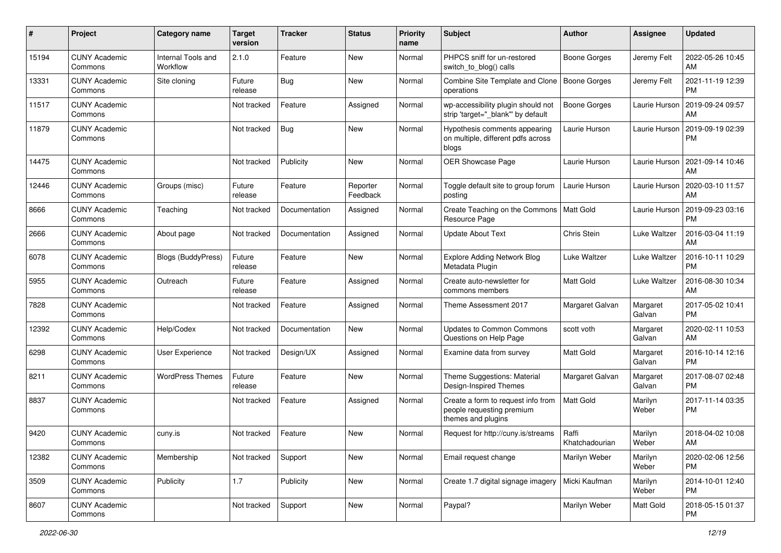| #     | Project                         | <b>Category name</b>           | <b>Target</b><br>version | <b>Tracker</b> | <b>Status</b>        | <b>Priority</b><br>name | Subject                                                                               | <b>Author</b>           | Assignee           | <b>Updated</b>                |
|-------|---------------------------------|--------------------------------|--------------------------|----------------|----------------------|-------------------------|---------------------------------------------------------------------------------------|-------------------------|--------------------|-------------------------------|
| 15194 | <b>CUNY Academic</b><br>Commons | Internal Tools and<br>Workflow | 2.1.0                    | Feature        | New                  | Normal                  | PHPCS sniff for un-restored<br>switch to blog() calls                                 | <b>Boone Gorges</b>     | Jeremy Felt        | 2022-05-26 10:45<br>AM        |
| 13331 | <b>CUNY Academic</b><br>Commons | Site cloning                   | Future<br>release        | <b>Bug</b>     | New                  | Normal                  | Combine Site Template and Clone<br>operations                                         | <b>Boone Gorges</b>     | Jeremy Felt        | 2021-11-19 12:39<br><b>PM</b> |
| 11517 | <b>CUNY Academic</b><br>Commons |                                | Not tracked              | Feature        | Assigned             | Normal                  | wp-accessibility plugin should not<br>strip 'target=" blank" by default               | Boone Gorges            | Laurie Hurson      | 2019-09-24 09:57<br>AM        |
| 11879 | <b>CUNY Academic</b><br>Commons |                                | Not tracked              | Bug            | <b>New</b>           | Normal                  | Hypothesis comments appearing<br>on multiple, different pdfs across<br>blogs          | Laurie Hurson           | Laurie Hurson      | 2019-09-19 02:39<br><b>PM</b> |
| 14475 | <b>CUNY Academic</b><br>Commons |                                | Not tracked              | Publicity      | New                  | Normal                  | OER Showcase Page                                                                     | Laurie Hurson           | Laurie Hurson      | 2021-09-14 10:46<br>AM        |
| 12446 | <b>CUNY Academic</b><br>Commons | Groups (misc)                  | Future<br>release        | Feature        | Reporter<br>Feedback | Normal                  | Toggle default site to group forum<br>posting                                         | Laurie Hurson           | Laurie Hurson      | 2020-03-10 11:57<br>AM        |
| 8666  | <b>CUNY Academic</b><br>Commons | Teaching                       | Not tracked              | Documentation  | Assigned             | Normal                  | Create Teaching on the Commons<br>Resource Page                                       | Matt Gold               | Laurie Hurson      | 2019-09-23 03:16<br><b>PM</b> |
| 2666  | <b>CUNY Academic</b><br>Commons | About page                     | Not tracked              | Documentation  | Assigned             | Normal                  | <b>Update About Text</b>                                                              | Chris Stein             | Luke Waltzer       | 2016-03-04 11:19<br>AM        |
| 6078  | <b>CUNY Academic</b><br>Commons | Blogs (BuddyPress)             | Future<br>release        | Feature        | New                  | Normal                  | <b>Explore Adding Network Blog</b><br>Metadata Plugin                                 | Luke Waltzer            | Luke Waltzer       | 2016-10-11 10:29<br><b>PM</b> |
| 5955  | <b>CUNY Academic</b><br>Commons | Outreach                       | Future<br>release        | Feature        | Assigned             | Normal                  | Create auto-newsletter for<br>commons members                                         | <b>Matt Gold</b>        | Luke Waltzer       | 2016-08-30 10:34<br>AM        |
| 7828  | <b>CUNY Academic</b><br>Commons |                                | Not tracked              | Feature        | Assigned             | Normal                  | Theme Assessment 2017                                                                 | Margaret Galvan         | Margaret<br>Galvan | 2017-05-02 10:41<br><b>PM</b> |
| 12392 | <b>CUNY Academic</b><br>Commons | Help/Codex                     | Not tracked              | Documentation  | New                  | Normal                  | Updates to Common Commons<br>Questions on Help Page                                   | scott voth              | Margaret<br>Galvan | 2020-02-11 10:53<br>AM        |
| 6298  | <b>CUNY Academic</b><br>Commons | <b>User Experience</b>         | Not tracked              | Design/UX      | Assigned             | Normal                  | Examine data from survey                                                              | <b>Matt Gold</b>        | Margaret<br>Galvan | 2016-10-14 12:16<br><b>PM</b> |
| 8211  | <b>CUNY Academic</b><br>Commons | <b>WordPress Themes</b>        | Future<br>release        | Feature        | New                  | Normal                  | Theme Suggestions: Material<br>Design-Inspired Themes                                 | Margaret Galvan         | Margaret<br>Galvan | 2017-08-07 02:48<br><b>PM</b> |
| 8837  | <b>CUNY Academic</b><br>Commons |                                | Not tracked              | Feature        | Assigned             | Normal                  | Create a form to request info from<br>people requesting premium<br>themes and plugins | <b>Matt Gold</b>        | Marilyn<br>Weber   | 2017-11-14 03:35<br><b>PM</b> |
| 9420  | <b>CUNY Academic</b><br>Commons | cuny.is                        | Not tracked              | Feature        | New                  | Normal                  | Request for http://cuny.is/streams                                                    | Raffi<br>Khatchadourian | Marilyn<br>Weber   | 2018-04-02 10:08<br>AM        |
| 12382 | <b>CUNY Academic</b><br>Commons | Membership                     | Not tracked              | Support        | New                  | Normal                  | Email request change                                                                  | Marilyn Weber           | Marilyn<br>Weber   | 2020-02-06 12:56<br>PM        |
| 3509  | <b>CUNY Academic</b><br>Commons | Publicity                      | 1.7                      | Publicity      | New                  | Normal                  | Create 1.7 digital signage imagery                                                    | Micki Kaufman           | Marilyn<br>Weber   | 2014-10-01 12:40<br><b>PM</b> |
| 8607  | <b>CUNY Academic</b><br>Commons |                                | Not tracked              | Support        | New                  | Normal                  | Paypal?                                                                               | Marilyn Weber           | Matt Gold          | 2018-05-15 01:37<br><b>PM</b> |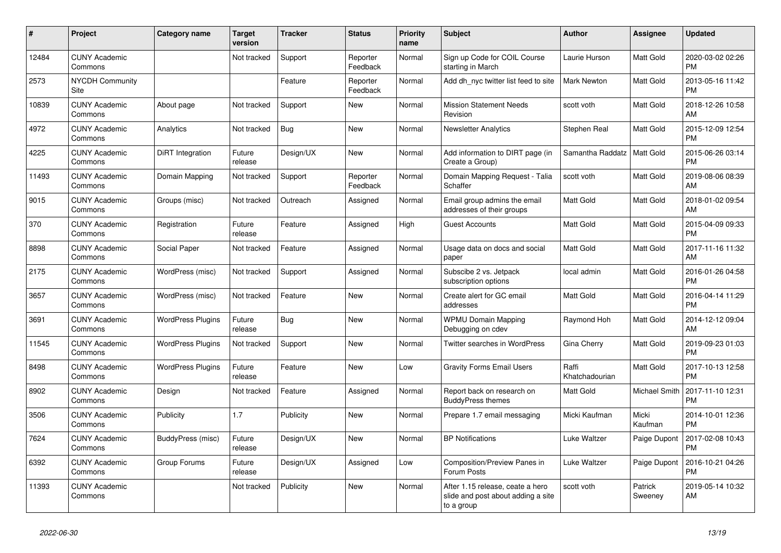| #     | <b>Project</b>                  | Category name            | <b>Target</b><br>version | <b>Tracker</b> | <b>Status</b>        | <b>Priority</b><br>name | <b>Subject</b>                                                                       | <b>Author</b>           | Assignee           | <b>Updated</b>                |
|-------|---------------------------------|--------------------------|--------------------------|----------------|----------------------|-------------------------|--------------------------------------------------------------------------------------|-------------------------|--------------------|-------------------------------|
| 12484 | <b>CUNY Academic</b><br>Commons |                          | Not tracked              | Support        | Reporter<br>Feedback | Normal                  | Sign up Code for COIL Course<br>starting in March                                    | Laurie Hurson           | Matt Gold          | 2020-03-02 02:26<br><b>PM</b> |
| 2573  | <b>NYCDH Community</b><br>Site  |                          |                          | Feature        | Reporter<br>Feedback | Normal                  | Add dh nyc twitter list feed to site                                                 | Mark Newton             | Matt Gold          | 2013-05-16 11:42<br><b>PM</b> |
| 10839 | <b>CUNY Academic</b><br>Commons | About page               | Not tracked              | Support        | New                  | Normal                  | <b>Mission Statement Needs</b><br>Revision                                           | scott voth              | Matt Gold          | 2018-12-26 10:58<br>AM        |
| 4972  | <b>CUNY Academic</b><br>Commons | Analytics                | Not tracked              | Bug            | <b>New</b>           | Normal                  | <b>Newsletter Analytics</b>                                                          | Stephen Real            | Matt Gold          | 2015-12-09 12:54<br><b>PM</b> |
| 4225  | <b>CUNY Academic</b><br>Commons | DiRT Integration         | Future<br>release        | Design/UX      | New                  | Normal                  | Add information to DIRT page (in<br>Create a Group)                                  | Samantha Raddatz        | Matt Gold          | 2015-06-26 03:14<br><b>PM</b> |
| 11493 | <b>CUNY Academic</b><br>Commons | Domain Mapping           | Not tracked              | Support        | Reporter<br>Feedback | Normal                  | Domain Mapping Request - Talia<br>Schaffer                                           | scott voth              | Matt Gold          | 2019-08-06 08:39<br>AM        |
| 9015  | <b>CUNY Academic</b><br>Commons | Groups (misc)            | Not tracked              | Outreach       | Assigned             | Normal                  | Email group admins the email<br>addresses of their groups                            | <b>Matt Gold</b>        | Matt Gold          | 2018-01-02 09:54<br>AM        |
| 370   | <b>CUNY Academic</b><br>Commons | Registration             | Future<br>release        | Feature        | Assigned             | High                    | <b>Guest Accounts</b>                                                                | Matt Gold               | Matt Gold          | 2015-04-09 09:33<br><b>PM</b> |
| 8898  | <b>CUNY Academic</b><br>Commons | Social Paper             | Not tracked              | Feature        | Assigned             | Normal                  | Usage data on docs and social<br>paper                                               | <b>Matt Gold</b>        | Matt Gold          | 2017-11-16 11:32<br>AM        |
| 2175  | <b>CUNY Academic</b><br>Commons | WordPress (misc)         | Not tracked              | Support        | Assigned             | Normal                  | Subscibe 2 vs. Jetpack<br>subscription options                                       | local admin             | Matt Gold          | 2016-01-26 04:58<br><b>PM</b> |
| 3657  | <b>CUNY Academic</b><br>Commons | WordPress (misc)         | Not tracked              | Feature        | New                  | Normal                  | Create alert for GC email<br>addresses                                               | Matt Gold               | Matt Gold          | 2016-04-14 11:29<br><b>PM</b> |
| 3691  | <b>CUNY Academic</b><br>Commons | <b>WordPress Plugins</b> | Future<br>release        | Bug            | New                  | Normal                  | <b>WPMU Domain Mapping</b><br>Debugging on cdev                                      | Raymond Hoh             | Matt Gold          | 2014-12-12 09:04<br>AM        |
| 11545 | <b>CUNY Academic</b><br>Commons | <b>WordPress Plugins</b> | Not tracked              | Support        | <b>New</b>           | Normal                  | <b>Twitter searches in WordPress</b>                                                 | Gina Cherry             | Matt Gold          | 2019-09-23 01:03<br><b>PM</b> |
| 8498  | <b>CUNY Academic</b><br>Commons | <b>WordPress Plugins</b> | Future<br>release        | Feature        | <b>New</b>           | Low                     | <b>Gravity Forms Email Users</b>                                                     | Raffi<br>Khatchadourian | Matt Gold          | 2017-10-13 12:58<br><b>PM</b> |
| 8902  | <b>CUNY Academic</b><br>Commons | Design                   | Not tracked              | Feature        | Assigned             | Normal                  | Report back on research on<br><b>BuddyPress themes</b>                               | Matt Gold               | Michael Smith      | 2017-11-10 12:31<br><b>PM</b> |
| 3506  | <b>CUNY Academic</b><br>Commons | Publicity                | 1.7                      | Publicity      | <b>New</b>           | Normal                  | Prepare 1.7 email messaging                                                          | Micki Kaufman           | Micki<br>Kaufman   | 2014-10-01 12:36<br><b>PM</b> |
| 7624  | <b>CUNY Academic</b><br>Commons | BuddyPress (misc)        | Future<br>release        | Design/UX      | New                  | Normal                  | <b>BP Notifications</b>                                                              | Luke Waltzer            | Paige Dupont       | 2017-02-08 10:43<br><b>PM</b> |
| 6392  | <b>CUNY Academic</b><br>Commons | Group Forums             | Future<br>release        | Design/UX      | Assigned             | Low                     | Composition/Preview Panes in<br>Forum Posts                                          | Luke Waltzer            | Paige Dupont       | 2016-10-21 04:26<br><b>PM</b> |
| 11393 | <b>CUNY Academic</b><br>Commons |                          | Not tracked              | Publicity      | <b>New</b>           | Normal                  | After 1.15 release, ceate a hero<br>slide and post about adding a site<br>to a group | scott voth              | Patrick<br>Sweenev | 2019-05-14 10:32<br>AM        |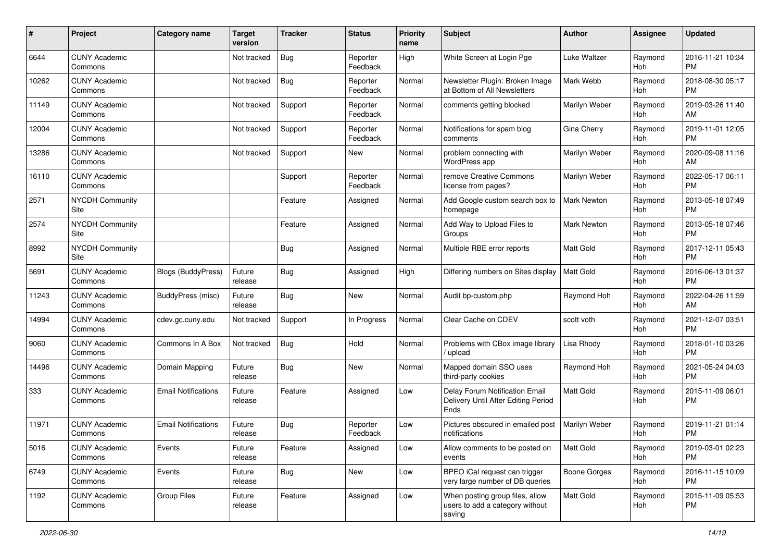| #     | Project                         | <b>Category name</b>       | <b>Target</b><br>version | <b>Tracker</b> | <b>Status</b>        | Priority<br>name | Subject                                                                       | <b>Author</b>      | <b>Assignee</b> | <b>Updated</b>                |
|-------|---------------------------------|----------------------------|--------------------------|----------------|----------------------|------------------|-------------------------------------------------------------------------------|--------------------|-----------------|-------------------------------|
| 6644  | <b>CUNY Academic</b><br>Commons |                            | Not tracked              | <b>Bug</b>     | Reporter<br>Feedback | High             | White Screen at Login Pge                                                     | Luke Waltzer       | Raymond<br>Hoh  | 2016-11-21 10:34<br><b>PM</b> |
| 10262 | <b>CUNY Academic</b><br>Commons |                            | Not tracked              | Bug            | Reporter<br>Feedback | Normal           | Newsletter Plugin: Broken Image<br>at Bottom of All Newsletters               | Mark Webb          | Raymond<br>Hoh  | 2018-08-30 05:17<br><b>PM</b> |
| 11149 | <b>CUNY Academic</b><br>Commons |                            | Not tracked              | Support        | Reporter<br>Feedback | Normal           | comments getting blocked                                                      | Marilyn Weber      | Raymond<br>Hoh  | 2019-03-26 11:40<br>AM        |
| 12004 | <b>CUNY Academic</b><br>Commons |                            | Not tracked              | Support        | Reporter<br>Feedback | Normal           | Notifications for spam blog<br>comments                                       | Gina Cherry        | Raymond<br>Hoh  | 2019-11-01 12:05<br><b>PM</b> |
| 13286 | <b>CUNY Academic</b><br>Commons |                            | Not tracked              | Support        | New                  | Normal           | problem connecting with<br>WordPress app                                      | Marilyn Weber      | Raymond<br>Hoh  | 2020-09-08 11:16<br>AM        |
| 16110 | <b>CUNY Academic</b><br>Commons |                            |                          | Support        | Reporter<br>Feedback | Normal           | remove Creative Commons<br>license from pages?                                | Marilyn Weber      | Raymond<br>Hoh  | 2022-05-17 06:11<br><b>PM</b> |
| 2571  | <b>NYCDH Community</b><br>Site  |                            |                          | Feature        | Assigned             | Normal           | Add Google custom search box to<br>homepage                                   | <b>Mark Newton</b> | Raymond<br>Hoh  | 2013-05-18 07:49<br><b>PM</b> |
| 2574  | NYCDH Community<br>Site         |                            |                          | Feature        | Assigned             | Normal           | Add Way to Upload Files to<br>Groups                                          | <b>Mark Newton</b> | Raymond<br>Hoh  | 2013-05-18 07:46<br><b>PM</b> |
| 8992  | NYCDH Community<br>Site         |                            |                          | <b>Bug</b>     | Assigned             | Normal           | Multiple RBE error reports                                                    | <b>Matt Gold</b>   | Raymond<br>Hoh  | 2017-12-11 05:43<br><b>PM</b> |
| 5691  | <b>CUNY Academic</b><br>Commons | <b>Blogs (BuddyPress)</b>  | Future<br>release        | Bug            | Assigned             | High             | Differing numbers on Sites display                                            | Matt Gold          | Raymond<br>Hoh  | 2016-06-13 01:37<br><b>PM</b> |
| 11243 | <b>CUNY Academic</b><br>Commons | BuddyPress (misc)          | Future<br>release        | Bug            | <b>New</b>           | Normal           | Audit bp-custom.php                                                           | Raymond Hoh        | Raymond<br>Hoh  | 2022-04-26 11:59<br>AM        |
| 14994 | <b>CUNY Academic</b><br>Commons | cdev.gc.cuny.edu           | Not tracked              | Support        | In Progress          | Normal           | Clear Cache on CDEV                                                           | scott voth         | Raymond<br>Hoh  | 2021-12-07 03:51<br><b>PM</b> |
| 9060  | <b>CUNY Academic</b><br>Commons | Commons In A Box           | Not tracked              | Bug            | Hold                 | Normal           | Problems with CBox image library<br>/ upload                                  | Lisa Rhody         | Raymond<br>Hoh  | 2018-01-10 03:26<br><b>PM</b> |
| 14496 | <b>CUNY Academic</b><br>Commons | Domain Mapping             | Future<br>release        | <b>Bug</b>     | <b>New</b>           | Normal           | Mapped domain SSO uses<br>third-party cookies                                 | Raymond Hoh        | Raymond<br>Hoh  | 2021-05-24 04:03<br><b>PM</b> |
| 333   | <b>CUNY Academic</b><br>Commons | <b>Email Notifications</b> | Future<br>release        | Feature        | Assigned             | Low              | Delay Forum Notification Email<br>Delivery Until After Editing Period<br>Ends | <b>Matt Gold</b>   | Raymond<br>Hoh  | 2015-11-09 06:01<br><b>PM</b> |
| 11971 | <b>CUNY Academic</b><br>Commons | <b>Email Notifications</b> | Future<br>release        | <b>Bug</b>     | Reporter<br>Feedback | Low              | Pictures obscured in emailed post<br>notifications                            | Marilyn Weber      | Raymond<br>Hoh  | 2019-11-21 01:14<br><b>PM</b> |
| 5016  | <b>CUNY Academic</b><br>Commons | Events                     | Future<br>release        | Feature        | Assigned             | Low              | Allow comments to be posted on<br>events                                      | Matt Gold          | Raymond<br>Hoh  | 2019-03-01 02:23<br><b>PM</b> |
| 6749  | <b>CUNY Academic</b><br>Commons | Events                     | Future<br>release        | <b>Bug</b>     | New                  | Low              | BPEO iCal request can trigger<br>very large number of DB queries              | Boone Gorges       | Raymond<br>Hoh  | 2016-11-15 10:09<br><b>PM</b> |
| 1192  | <b>CUNY Academic</b><br>Commons | <b>Group Files</b>         | Future<br>release        | Feature        | Assigned             | Low              | When posting group files, allow<br>users to add a category without<br>saving  | Matt Gold          | Raymond<br>Hoh  | 2015-11-09 05:53<br><b>PM</b> |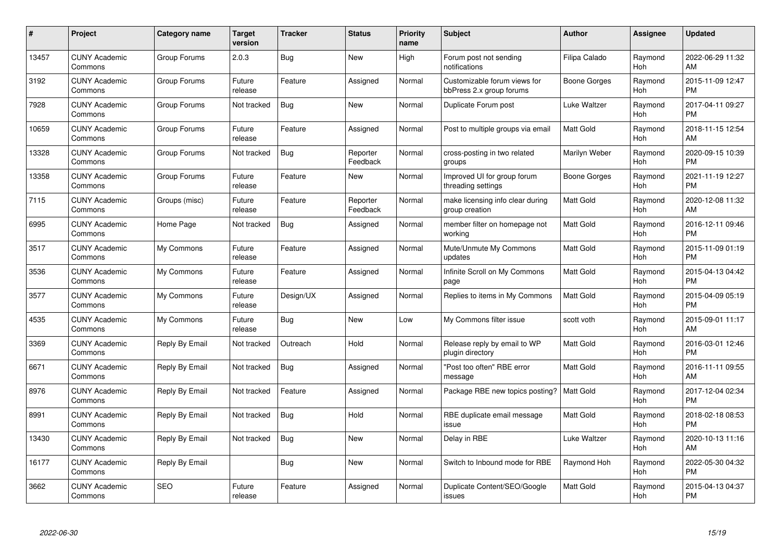| $\#$  | Project                         | <b>Category name</b> | Target<br>version | <b>Tracker</b> | <b>Status</b>        | Priority<br>name | <b>Subject</b>                                           | <b>Author</b>    | <b>Assignee</b> | <b>Updated</b>                |
|-------|---------------------------------|----------------------|-------------------|----------------|----------------------|------------------|----------------------------------------------------------|------------------|-----------------|-------------------------------|
| 13457 | <b>CUNY Academic</b><br>Commons | Group Forums         | 2.0.3             | Bug            | <b>New</b>           | High             | Forum post not sending<br>notifications                  | Filipa Calado    | Raymond<br>Hoh  | 2022-06-29 11:32<br>AM        |
| 3192  | <b>CUNY Academic</b><br>Commons | Group Forums         | Future<br>release | Feature        | Assigned             | Normal           | Customizable forum views for<br>bbPress 2.x group forums | Boone Gorges     | Raymond<br>Hoh  | 2015-11-09 12:47<br><b>PM</b> |
| 7928  | <b>CUNY Academic</b><br>Commons | Group Forums         | Not tracked       | <b>Bug</b>     | <b>New</b>           | Normal           | Duplicate Forum post                                     | Luke Waltzer     | Raymond<br>Hoh  | 2017-04-11 09:27<br><b>PM</b> |
| 10659 | <b>CUNY Academic</b><br>Commons | Group Forums         | Future<br>release | Feature        | Assigned             | Normal           | Post to multiple groups via email                        | <b>Matt Gold</b> | Raymond<br>Hoh  | 2018-11-15 12:54<br>AM        |
| 13328 | <b>CUNY Academic</b><br>Commons | Group Forums         | Not tracked       | <b>Bug</b>     | Reporter<br>Feedback | Normal           | cross-posting in two related<br>groups                   | Marilyn Weber    | Raymond<br>Hoh  | 2020-09-15 10:39<br><b>PM</b> |
| 13358 | <b>CUNY Academic</b><br>Commons | Group Forums         | Future<br>release | Feature        | New                  | Normal           | Improved UI for group forum<br>threading settings        | Boone Gorges     | Raymond<br>Hoh  | 2021-11-19 12:27<br><b>PM</b> |
| 7115  | <b>CUNY Academic</b><br>Commons | Groups (misc)        | Future<br>release | Feature        | Reporter<br>Feedback | Normal           | make licensing info clear during<br>group creation       | <b>Matt Gold</b> | Raymond<br>Hoh  | 2020-12-08 11:32<br>AM        |
| 6995  | <b>CUNY Academic</b><br>Commons | Home Page            | Not tracked       | Bug            | Assigned             | Normal           | member filter on homepage not<br>working                 | Matt Gold        | Raymond<br>Hoh  | 2016-12-11 09:46<br><b>PM</b> |
| 3517  | <b>CUNY Academic</b><br>Commons | My Commons           | Future<br>release | Feature        | Assigned             | Normal           | Mute/Unmute My Commons<br>updates                        | <b>Matt Gold</b> | Raymond<br>Hoh  | 2015-11-09 01:19<br><b>PM</b> |
| 3536  | <b>CUNY Academic</b><br>Commons | My Commons           | Future<br>release | Feature        | Assigned             | Normal           | Infinite Scroll on My Commons<br>page                    | <b>Matt Gold</b> | Raymond<br>Hoh  | 2015-04-13 04:42<br><b>PM</b> |
| 3577  | <b>CUNY Academic</b><br>Commons | My Commons           | Future<br>release | Design/UX      | Assigned             | Normal           | Replies to items in My Commons                           | <b>Matt Gold</b> | Raymond<br>Hoh  | 2015-04-09 05:19<br><b>PM</b> |
| 4535  | <b>CUNY Academic</b><br>Commons | My Commons           | Future<br>release | Bug            | New                  | Low              | My Commons filter issue                                  | scott voth       | Raymond<br>Hoh  | 2015-09-01 11:17<br>AM        |
| 3369  | <b>CUNY Academic</b><br>Commons | Reply By Email       | Not tracked       | Outreach       | Hold                 | Normal           | Release reply by email to WP<br>plugin directory         | Matt Gold        | Raymond<br>Hoh  | 2016-03-01 12:46<br><b>PM</b> |
| 6671  | <b>CUNY Academic</b><br>Commons | Reply By Email       | Not tracked       | Bug            | Assigned             | Normal           | "Post too often" RBE error<br>message                    | <b>Matt Gold</b> | Raymond<br>Hoh  | 2016-11-11 09:55<br>AM        |
| 8976  | <b>CUNY Academic</b><br>Commons | Reply By Email       | Not tracked       | Feature        | Assigned             | Normal           | Package RBE new topics posting?                          | Matt Gold        | Raymond<br>Hoh  | 2017-12-04 02:34<br><b>PM</b> |
| 8991  | <b>CUNY Academic</b><br>Commons | Reply By Email       | Not tracked       | <b>Bug</b>     | Hold                 | Normal           | RBE duplicate email message<br>issue                     | Matt Gold        | Raymond<br>Hoh  | 2018-02-18 08:53<br><b>PM</b> |
| 13430 | <b>CUNY Academic</b><br>Commons | Reply By Email       | Not tracked       | Bug            | New                  | Normal           | Delay in RBE                                             | Luke Waltzer     | Raymond<br>Hoh  | 2020-10-13 11:16<br>AM        |
| 16177 | <b>CUNY Academic</b><br>Commons | Reply By Email       |                   | Bug            | New                  | Normal           | Switch to Inbound mode for RBE                           | Raymond Hoh      | Raymond<br>Hoh  | 2022-05-30 04:32<br><b>PM</b> |
| 3662  | CUNY Academic<br>Commons        | <b>SEO</b>           | Future<br>release | Feature        | Assigned             | Normal           | Duplicate Content/SEO/Google<br>issues                   | <b>Matt Gold</b> | Raymond<br>Hoh  | 2015-04-13 04:37<br><b>PM</b> |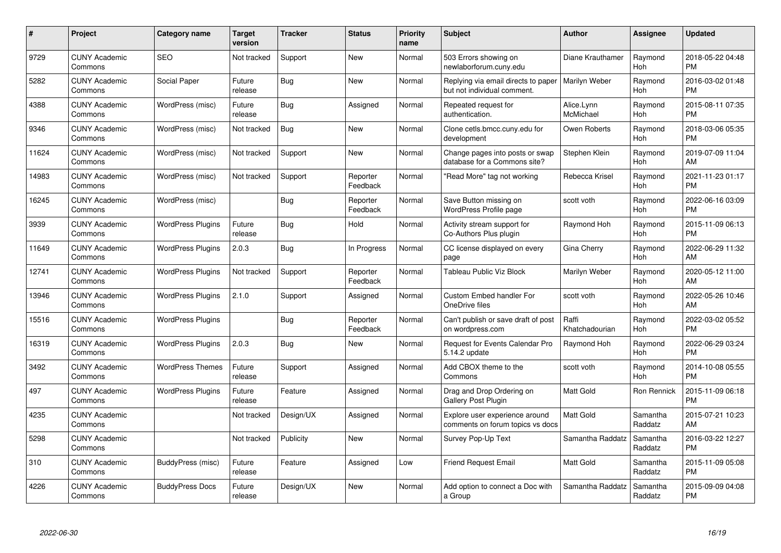| #     | <b>Project</b>                  | Category name            | <b>Target</b><br>version | <b>Tracker</b> | <b>Status</b>        | <b>Priority</b><br>name | <b>Subject</b>                                                     | <b>Author</b>           | Assignee            | <b>Updated</b>                |
|-------|---------------------------------|--------------------------|--------------------------|----------------|----------------------|-------------------------|--------------------------------------------------------------------|-------------------------|---------------------|-------------------------------|
| 9729  | <b>CUNY Academic</b><br>Commons | <b>SEO</b>               | Not tracked              | Support        | <b>New</b>           | Normal                  | 503 Errors showing on<br>newlaborforum.cuny.edu                    | Diane Krauthamer        | Raymond<br>Hoh      | 2018-05-22 04:48<br><b>PM</b> |
| 5282  | <b>CUNY Academic</b><br>Commons | Social Paper             | Future<br>release        | Bug            | <b>New</b>           | Normal                  | Replying via email directs to paper<br>but not individual comment. | Marilyn Weber           | Raymond<br>Hoh      | 2016-03-02 01:48<br><b>PM</b> |
| 4388  | <b>CUNY Academic</b><br>Commons | WordPress (misc)         | Future<br>release        | Bug            | Assigned             | Normal                  | Repeated request for<br>authentication.                            | Alice.Lynn<br>McMichael | Raymond<br>Hoh      | 2015-08-11 07:35<br><b>PM</b> |
| 9346  | <b>CUNY Academic</b><br>Commons | WordPress (misc)         | Not tracked              | Bug            | <b>New</b>           | Normal                  | Clone cetls.bmcc.cuny.edu for<br>development                       | Owen Roberts            | Raymond<br>Hoh      | 2018-03-06 05:35<br><b>PM</b> |
| 11624 | <b>CUNY Academic</b><br>Commons | WordPress (misc)         | Not tracked              | Support        | <b>New</b>           | Normal                  | Change pages into posts or swap<br>database for a Commons site?    | Stephen Klein           | Raymond<br>Hoh      | 2019-07-09 11:04<br>AM        |
| 14983 | <b>CUNY Academic</b><br>Commons | WordPress (misc)         | Not tracked              | Support        | Reporter<br>Feedback | Normal                  | "Read More" tag not working                                        | Rebecca Krisel          | Raymond<br>Hoh      | 2021-11-23 01:17<br><b>PM</b> |
| 16245 | <b>CUNY Academic</b><br>Commons | WordPress (misc)         |                          | Bug            | Reporter<br>Feedback | Normal                  | Save Button missing on<br>WordPress Profile page                   | scott voth              | Raymond<br>Hoh      | 2022-06-16 03:09<br><b>PM</b> |
| 3939  | <b>CUNY Academic</b><br>Commons | <b>WordPress Plugins</b> | Future<br>release        | Bug            | Hold                 | Normal                  | Activity stream support for<br>Co-Authors Plus plugin              | Raymond Hoh             | Raymond<br>Hoh      | 2015-11-09 06:13<br><b>PM</b> |
| 11649 | <b>CUNY Academic</b><br>Commons | <b>WordPress Plugins</b> | 2.0.3                    | <b>Bug</b>     | In Progress          | Normal                  | CC license displayed on every<br>page                              | Gina Cherry             | Raymond<br>Hoh      | 2022-06-29 11:32<br>AM        |
| 12741 | <b>CUNY Academic</b><br>Commons | <b>WordPress Plugins</b> | Not tracked              | Support        | Reporter<br>Feedback | Normal                  | Tableau Public Viz Block                                           | Marilyn Weber           | Raymond<br>Hoh      | 2020-05-12 11:00<br>AM        |
| 13946 | <b>CUNY Academic</b><br>Commons | <b>WordPress Plugins</b> | 2.1.0                    | Support        | Assigned             | Normal                  | Custom Embed handler For<br>OneDrive files                         | scott voth              | Raymond<br>Hoh      | 2022-05-26 10:46<br>AM        |
| 15516 | <b>CUNY Academic</b><br>Commons | <b>WordPress Plugins</b> |                          | Bug            | Reporter<br>Feedback | Normal                  | Can't publish or save draft of post<br>on wordpress.com            | Raffi<br>Khatchadourian | Raymond<br>Hoh      | 2022-03-02 05:52<br><b>PM</b> |
| 16319 | <b>CUNY Academic</b><br>Commons | <b>WordPress Plugins</b> | 2.0.3                    | Bug            | New                  | Normal                  | Request for Events Calendar Pro<br>5.14.2 update                   | Raymond Hoh             | Raymond<br>Hoh      | 2022-06-29 03:24<br><b>PM</b> |
| 3492  | <b>CUNY Academic</b><br>Commons | <b>WordPress Themes</b>  | Future<br>release        | Support        | Assigned             | Normal                  | Add CBOX theme to the<br>Commons                                   | scott voth              | Raymond<br>Hoh      | 2014-10-08 05:55<br><b>PM</b> |
| 497   | <b>CUNY Academic</b><br>Commons | <b>WordPress Plugins</b> | Future<br>release        | Feature        | Assigned             | Normal                  | Drag and Drop Ordering on<br><b>Gallery Post Plugin</b>            | <b>Matt Gold</b>        | Ron Rennick         | 2015-11-09 06:18<br><b>PM</b> |
| 4235  | <b>CUNY Academic</b><br>Commons |                          | Not tracked              | Design/UX      | Assigned             | Normal                  | Explore user experience around<br>comments on forum topics vs docs | <b>Matt Gold</b>        | Samantha<br>Raddatz | 2015-07-21 10:23<br>AM        |
| 5298  | <b>CUNY Academic</b><br>Commons |                          | Not tracked              | Publicity      | <b>New</b>           | Normal                  | Survey Pop-Up Text                                                 | Samantha Raddatz        | Samantha<br>Raddatz | 2016-03-22 12:27<br><b>PM</b> |
| 310   | <b>CUNY Academic</b><br>Commons | BuddyPress (misc)        | Future<br>release        | Feature        | Assigned             | Low                     | <b>Friend Request Email</b>                                        | <b>Matt Gold</b>        | Samantha<br>Raddatz | 2015-11-09 05:08<br><b>PM</b> |
| 4226  | <b>CUNY Academic</b><br>Commons | <b>BuddyPress Docs</b>   | Future<br>release        | Design/UX      | <b>New</b>           | Normal                  | Add option to connect a Doc with<br>a Group                        | Samantha Raddatz        | Samantha<br>Raddatz | 2015-09-09 04:08<br><b>PM</b> |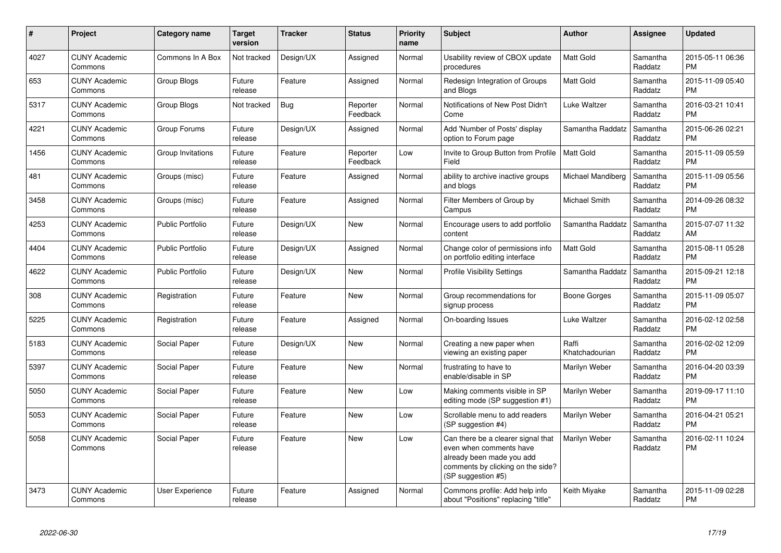| #    | <b>Project</b>                  | Category name           | <b>Target</b><br>version | Tracker    | <b>Status</b>        | <b>Priority</b><br>name | <b>Subject</b>                                                                                                                                        | <b>Author</b>           | Assignee            | <b>Updated</b>                |
|------|---------------------------------|-------------------------|--------------------------|------------|----------------------|-------------------------|-------------------------------------------------------------------------------------------------------------------------------------------------------|-------------------------|---------------------|-------------------------------|
| 4027 | <b>CUNY Academic</b><br>Commons | Commons In A Box        | Not tracked              | Design/UX  | Assigned             | Normal                  | Usability review of CBOX update<br>procedures                                                                                                         | <b>Matt Gold</b>        | Samantha<br>Raddatz | 2015-05-11 06:36<br><b>PM</b> |
| 653  | <b>CUNY Academic</b><br>Commons | Group Blogs             | Future<br>release        | Feature    | Assigned             | Normal                  | Redesign Integration of Groups<br>and Blogs                                                                                                           | <b>Matt Gold</b>        | Samantha<br>Raddatz | 2015-11-09 05:40<br><b>PM</b> |
| 5317 | <b>CUNY Academic</b><br>Commons | Group Blogs             | Not tracked              | <b>Bug</b> | Reporter<br>Feedback | Normal                  | Notifications of New Post Didn't<br>Come                                                                                                              | Luke Waltzer            | Samantha<br>Raddatz | 2016-03-21 10:41<br><b>PM</b> |
| 4221 | <b>CUNY Academic</b><br>Commons | Group Forums            | Future<br>release        | Design/UX  | Assigned             | Normal                  | Add 'Number of Posts' display<br>option to Forum page                                                                                                 | Samantha Raddatz        | Samantha<br>Raddatz | 2015-06-26 02:21<br><b>PM</b> |
| 1456 | <b>CUNY Academic</b><br>Commons | Group Invitations       | Future<br>release        | Feature    | Reporter<br>Feedback | Low                     | Invite to Group Button from Profile<br>Field                                                                                                          | <b>Matt Gold</b>        | Samantha<br>Raddatz | 2015-11-09 05:59<br><b>PM</b> |
| 481  | <b>CUNY Academic</b><br>Commons | Groups (misc)           | Future<br>release        | Feature    | Assigned             | Normal                  | ability to archive inactive groups<br>and blogs                                                                                                       | Michael Mandiberg       | Samantha<br>Raddatz | 2015-11-09 05:56<br>PM        |
| 3458 | <b>CUNY Academic</b><br>Commons | Groups (misc)           | Future<br>release        | Feature    | Assigned             | Normal                  | Filter Members of Group by<br>Campus                                                                                                                  | Michael Smith           | Samantha<br>Raddatz | 2014-09-26 08:32<br><b>PM</b> |
| 4253 | <b>CUNY Academic</b><br>Commons | <b>Public Portfolio</b> | Future<br>release        | Design/UX  | <b>New</b>           | Normal                  | Encourage users to add portfolio<br>content                                                                                                           | Samantha Raddatz        | Samantha<br>Raddatz | 2015-07-07 11:32<br>AM        |
| 4404 | <b>CUNY Academic</b><br>Commons | <b>Public Portfolio</b> | Future<br>release        | Design/UX  | Assigned             | Normal                  | Change color of permissions info<br>on portfolio editing interface                                                                                    | <b>Matt Gold</b>        | Samantha<br>Raddatz | 2015-08-11 05:28<br><b>PM</b> |
| 4622 | <b>CUNY Academic</b><br>Commons | <b>Public Portfolio</b> | Future<br>release        | Design/UX  | New                  | Normal                  | <b>Profile Visibility Settings</b>                                                                                                                    | Samantha Raddatz        | Samantha<br>Raddatz | 2015-09-21 12:18<br><b>PM</b> |
| 308  | <b>CUNY Academic</b><br>Commons | Registration            | Future<br>release        | Feature    | New                  | Normal                  | Group recommendations for<br>signup process                                                                                                           | Boone Gorges            | Samantha<br>Raddatz | 2015-11-09 05:07<br><b>PM</b> |
| 5225 | <b>CUNY Academic</b><br>Commons | Registration            | Future<br>release        | Feature    | Assigned             | Normal                  | On-boarding Issues                                                                                                                                    | Luke Waltzer            | Samantha<br>Raddatz | 2016-02-12 02:58<br>PM.       |
| 5183 | <b>CUNY Academic</b><br>Commons | Social Paper            | Future<br>release        | Design/UX  | New                  | Normal                  | Creating a new paper when<br>viewing an existing paper                                                                                                | Raffi<br>Khatchadourian | Samantha<br>Raddatz | 2016-02-02 12:09<br>PM        |
| 5397 | <b>CUNY Academic</b><br>Commons | Social Paper            | Future<br>release        | Feature    | New                  | Normal                  | frustrating to have to<br>enable/disable in SP                                                                                                        | Marilyn Weber           | Samantha<br>Raddatz | 2016-04-20 03:39<br><b>PM</b> |
| 5050 | <b>CUNY Academic</b><br>Commons | Social Paper            | Future<br>release        | Feature    | New                  | Low                     | Making comments visible in SP<br>editing mode (SP suggestion #1)                                                                                      | Marilyn Weber           | Samantha<br>Raddatz | 2019-09-17 11:10<br><b>PM</b> |
| 5053 | <b>CUNY Academic</b><br>Commons | Social Paper            | Future<br>release        | Feature    | <b>New</b>           | Low                     | Scrollable menu to add readers<br>(SP suggestion #4)                                                                                                  | Marilyn Weber           | Samantha<br>Raddatz | 2016-04-21 05:21<br><b>PM</b> |
| 5058 | <b>CUNY Academic</b><br>Commons | Social Paper            | Future<br>release        | Feature    | <b>New</b>           | Low                     | Can there be a clearer signal that<br>even when comments have<br>already been made you add<br>comments by clicking on the side?<br>(SP suggestion #5) | Marilyn Weber           | Samantha<br>Raddatz | 2016-02-11 10:24<br><b>PM</b> |
| 3473 | <b>CUNY Academic</b><br>Commons | <b>User Experience</b>  | Future<br>release        | Feature    | Assigned             | Normal                  | Commons profile: Add help info<br>about "Positions" replacing "title"                                                                                 | Keith Miyake            | Samantha<br>Raddatz | 2015-11-09 02:28<br><b>PM</b> |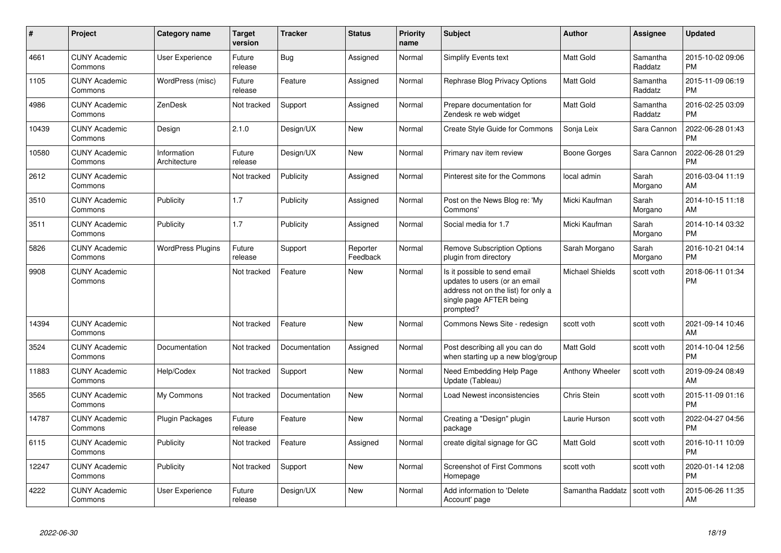| $\pmb{\#}$ | Project                         | <b>Category name</b>        | <b>Target</b><br>version | <b>Tracker</b> | <b>Status</b>        | <b>Priority</b><br>name | <b>Subject</b>                                                                                                                               | <b>Author</b>    | Assignee            | <b>Updated</b>                |
|------------|---------------------------------|-----------------------------|--------------------------|----------------|----------------------|-------------------------|----------------------------------------------------------------------------------------------------------------------------------------------|------------------|---------------------|-------------------------------|
| 4661       | <b>CUNY Academic</b><br>Commons | User Experience             | Future<br>release        | Bug            | Assigned             | Normal                  | Simplify Events text                                                                                                                         | <b>Matt Gold</b> | Samantha<br>Raddatz | 2015-10-02 09:06<br><b>PM</b> |
| 1105       | <b>CUNY Academic</b><br>Commons | WordPress (misc)            | Future<br>release        | Feature        | Assigned             | Normal                  | <b>Rephrase Blog Privacy Options</b>                                                                                                         | <b>Matt Gold</b> | Samantha<br>Raddatz | 2015-11-09 06:19<br><b>PM</b> |
| 4986       | <b>CUNY Academic</b><br>Commons | ZenDesk                     | Not tracked              | Support        | Assigned             | Normal                  | Prepare documentation for<br>Zendesk re web widget                                                                                           | Matt Gold        | Samantha<br>Raddatz | 2016-02-25 03:09<br><b>PM</b> |
| 10439      | <b>CUNY Academic</b><br>Commons | Design                      | 2.1.0                    | Design/UX      | New                  | Normal                  | Create Style Guide for Commons                                                                                                               | Sonja Leix       | Sara Cannon         | 2022-06-28 01:43<br><b>PM</b> |
| 10580      | <b>CUNY Academic</b><br>Commons | Information<br>Architecture | Future<br>release        | Design/UX      | New                  | Normal                  | Primary nav item review                                                                                                                      | Boone Gorges     | Sara Cannon         | 2022-06-28 01:29<br><b>PM</b> |
| 2612       | <b>CUNY Academic</b><br>Commons |                             | Not tracked              | Publicity      | Assigned             | Normal                  | Pinterest site for the Commons                                                                                                               | local admin      | Sarah<br>Morgano    | 2016-03-04 11:19<br>AM        |
| 3510       | <b>CUNY Academic</b><br>Commons | Publicity                   | 1.7                      | Publicity      | Assigned             | Normal                  | Post on the News Blog re: 'My<br>Commons'                                                                                                    | Micki Kaufman    | Sarah<br>Morgano    | 2014-10-15 11:18<br>AM        |
| 3511       | <b>CUNY Academic</b><br>Commons | Publicity                   | 1.7                      | Publicity      | Assigned             | Normal                  | Social media for 1.7                                                                                                                         | Micki Kaufman    | Sarah<br>Morgano    | 2014-10-14 03:32<br><b>PM</b> |
| 5826       | <b>CUNY Academic</b><br>Commons | <b>WordPress Plugins</b>    | Future<br>release        | Support        | Reporter<br>Feedback | Normal                  | <b>Remove Subscription Options</b><br>plugin from directory                                                                                  | Sarah Morgano    | Sarah<br>Morgano    | 2016-10-21 04:14<br><b>PM</b> |
| 9908       | <b>CUNY Academic</b><br>Commons |                             | Not tracked              | Feature        | <b>New</b>           | Normal                  | Is it possible to send email<br>updates to users (or an email<br>address not on the list) for only a<br>single page AFTER being<br>prompted? | Michael Shields  | scott voth          | 2018-06-11 01:34<br><b>PM</b> |
| 14394      | <b>CUNY Academic</b><br>Commons |                             | Not tracked              | Feature        | <b>New</b>           | Normal                  | Commons News Site - redesign                                                                                                                 | scott voth       | scott voth          | 2021-09-14 10:46<br>AM        |
| 3524       | <b>CUNY Academic</b><br>Commons | Documentation               | Not tracked              | Documentation  | Assigned             | Normal                  | Post describing all you can do<br>when starting up a new blog/group                                                                          | Matt Gold        | scott voth          | 2014-10-04 12:56<br>PM        |
| 11883      | <b>CUNY Academic</b><br>Commons | Help/Codex                  | Not tracked              | Support        | New                  | Normal                  | Need Embedding Help Page<br>Update (Tableau)                                                                                                 | Anthony Wheeler  | scott voth          | 2019-09-24 08:49<br>AM        |
| 3565       | <b>CUNY Academic</b><br>Commons | My Commons                  | Not tracked              | Documentation  | New                  | Normal                  | Load Newest inconsistencies                                                                                                                  | Chris Stein      | scott voth          | 2015-11-09 01:16<br><b>PM</b> |
| 14787      | <b>CUNY Academic</b><br>Commons | <b>Plugin Packages</b>      | Future<br>release        | Feature        | <b>New</b>           | Normal                  | Creating a "Design" plugin<br>package                                                                                                        | Laurie Hurson    | scott voth          | 2022-04-27 04:56<br><b>PM</b> |
| 6115       | <b>CUNY Academic</b><br>Commons | Publicity                   | Not tracked              | Feature        | Assigned             | Normal                  | create digital signage for GC                                                                                                                | Matt Gold        | scott voth          | 2016-10-11 10:09<br><b>PM</b> |
| 12247      | <b>CUNY Academic</b><br>Commons | Publicity                   | Not tracked              | Support        | <b>New</b>           | Normal                  | <b>Screenshot of First Commons</b><br>Homepage                                                                                               | scott voth       | scott voth          | 2020-01-14 12:08<br><b>PM</b> |
| 4222       | <b>CUNY Academic</b><br>Commons | User Experience             | Future<br>release        | Design/UX      | <b>New</b>           | Normal                  | Add information to 'Delete<br>Account' page                                                                                                  | Samantha Raddatz | scott voth          | 2015-06-26 11:35<br>AM        |